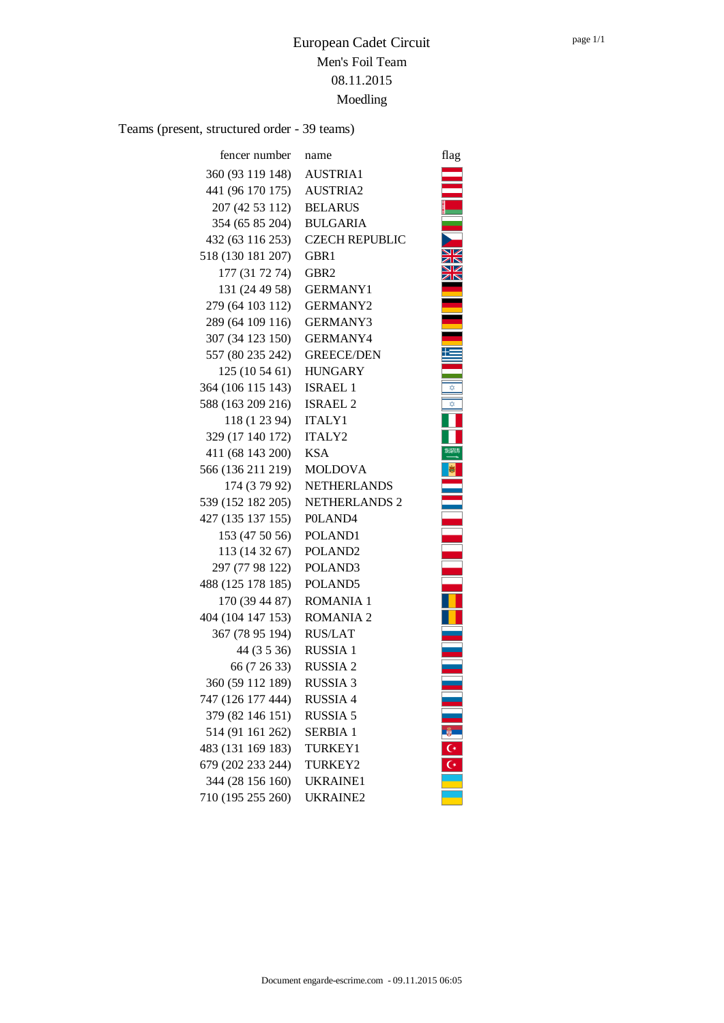Teams (present, structured order - 39 teams)

| fencer number         | name                  | flag        |
|-----------------------|-----------------------|-------------|
| 360 (93 119 148)      | <b>AUSTRIA1</b>       |             |
| 441 (96 170 175)      | <b>AUSTRIA2</b>       |             |
| 207 (42 53 112)       | <b>BELARUS</b>        |             |
| 354 (65 85 204)       | <b>BULGARIA</b>       |             |
| 432 (63 116 253)      | <b>CZECH REPUBLIC</b> |             |
| 518 (130 181 207)     | GBR1                  |             |
| 177 (31 72 74)        | GBR <sub>2</sub>      |             |
| 131 (24 49 58)        | <b>GERMANY1</b>       |             |
| 279 (64 103 112)      | <b>GERMANY2</b>       |             |
| 289 (64 109 116)      | <b>GERMANY3</b>       |             |
| 307 (34 123 150)      | <b>GERMANY4</b>       |             |
| 557 (80 235 242)      | <b>GREECE/DEN</b>     |             |
| 125 (10 54 61)        | <b>HUNGARY</b>        |             |
| 364 (106 115 143)     | <b>ISRAEL 1</b>       |             |
| 588 (163 209 216)     | <b>ISRAEL 2</b>       | ✿           |
| 118 (1 23 94)         | <b>ITALY1</b>         |             |
| 329 (17 140 172)      | ITALY2                |             |
| 411 (68 143 200)      | <b>KSA</b>            | 23203       |
| 566 (136 211 219)     | <b>MOLDOVA</b>        |             |
| 174 (3 79 92)         | <b>NETHERLANDS</b>    |             |
| 539 (152 182 205)     | <b>NETHERLANDS 2</b>  |             |
| 427 (135 137 155)     | P0LAND4               |             |
| 153 (47 50 56)        | POLAND1               |             |
| 113 (14 32 67)        | POLAND <sub>2</sub>   |             |
| 297 (77 98 122)       | POLAND <sub>3</sub>   |             |
| 488 (125 178 185)     | POLAND5               |             |
| 170 (39 44 87)        | <b>ROMANIA 1</b>      |             |
| 404 (104 147 153)     | <b>ROMANIA 2</b>      |             |
| 367 (78 95 194)       | <b>RUS/LAT</b>        |             |
| 44 (3 5 36)           | <b>RUSSIA1</b>        |             |
| 66 (7 26 33) RUSSIA 2 |                       |             |
| 360 (59 112 189)      | <b>RUSSIA 3</b>       |             |
| 747 (126 177 444)     | <b>RUSSIA 4</b>       |             |
| 379 (82 146 151)      | <b>RUSSIA 5</b>       |             |
| 514 (91 161 262)      | <b>SERBIA 1</b>       |             |
| 483 (131 169 183)     | <b>TURKEY1</b>        | $rac{C}{C}$ |
| 679 (202 233 244)     | TURKEY2               |             |
| 344 (28 156 160)      | UKRAINE1              |             |
| 710 (195 255 260)     | <b>UKRAINE2</b>       |             |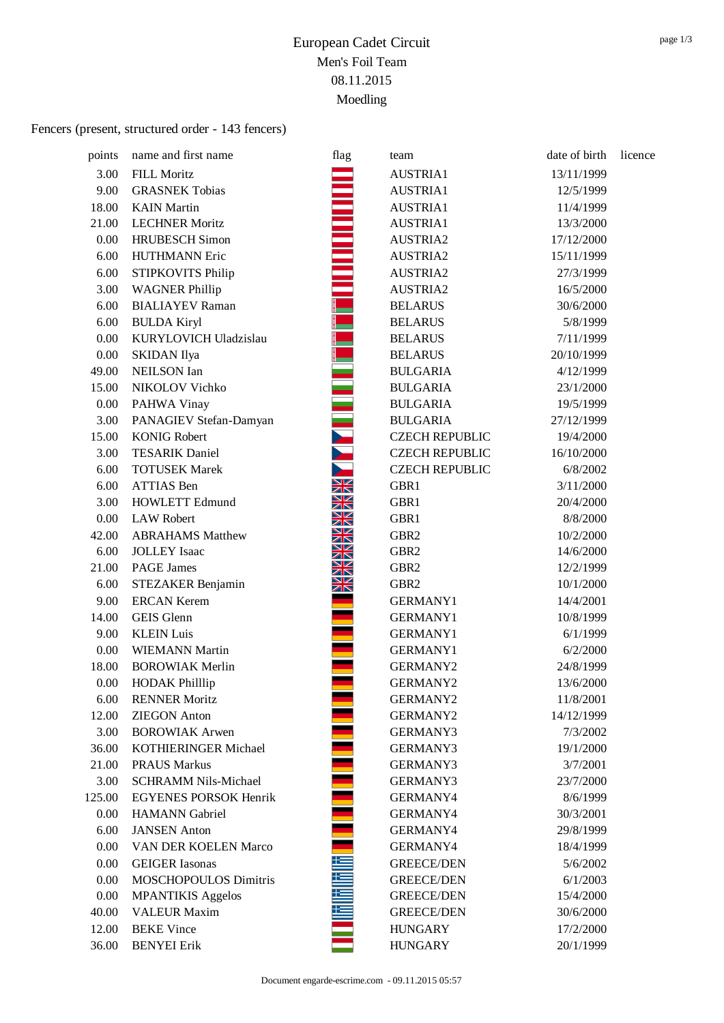## Fencers (present, structured order - 143 fencers)

| points | name and first name          | flag                                    | team                  | date of birth | licence |
|--------|------------------------------|-----------------------------------------|-----------------------|---------------|---------|
| 3.00   | <b>FILL Moritz</b>           |                                         | AUSTRIA1              | 13/11/1999    |         |
| 9.00   | <b>GRASNEK Tobias</b>        |                                         | AUSTRIA1              | 12/5/1999     |         |
| 18.00  | <b>KAIN</b> Martin           |                                         | AUSTRIA1              | 11/4/1999     |         |
| 21.00  | <b>LECHNER Moritz</b>        |                                         | AUSTRIA1              | 13/3/2000     |         |
| 0.00   | <b>HRUBESCH</b> Simon        |                                         | AUSTRIA2              | 17/12/2000    |         |
| 6.00   | <b>HUTHMANN Eric</b>         |                                         | AUSTRIA2              | 15/11/1999    |         |
| 6.00   | STIPKOVITS Philip            |                                         | AUSTRIA2              | 27/3/1999     |         |
| 3.00   | <b>WAGNER Phillip</b>        |                                         | AUSTRIA2              | 16/5/2000     |         |
| 6.00   | <b>BIALIAYEV Raman</b>       |                                         | <b>BELARUS</b>        | 30/6/2000     |         |
| 6.00   | <b>BULDA Kiryl</b>           |                                         | <b>BELARUS</b>        | 5/8/1999      |         |
| 0.00   | KURYLOVICH Uladzislau        |                                         | <b>BELARUS</b>        | 7/11/1999     |         |
| 0.00   | <b>SKIDAN</b> Ilya           |                                         | <b>BELARUS</b>        | 20/10/1999    |         |
| 49.00  | <b>NEILSON</b> Ian           |                                         | <b>BULGARIA</b>       | 4/12/1999     |         |
| 15.00  | NIKOLOV Vichko               |                                         | <b>BULGARIA</b>       | 23/1/2000     |         |
| 0.00   | PAHWA Vinay                  |                                         | <b>BULGARIA</b>       | 19/5/1999     |         |
| 3.00   | PANAGIEV Stefan-Damyan       |                                         | <b>BULGARIA</b>       | 27/12/1999    |         |
| 15.00  | <b>KONIG Robert</b>          |                                         | <b>CZECH REPUBLIC</b> | 19/4/2000     |         |
| 3.00   | <b>TESARIK Daniel</b>        |                                         | <b>CZECH REPUBLIC</b> | 16/10/2000    |         |
| 6.00   | <b>TOTUSEK Marek</b>         |                                         | <b>CZECH REPUBLIC</b> | 6/8/2002      |         |
| 6.00   | <b>ATTIAS</b> Ben            | V<br>↗下                                 | GBR1                  | 3/11/2000     |         |
| 3.00   | <b>HOWLETT Edmund</b>        | $\square$<br>ZR                         | GBR1                  | 20/4/2000     |         |
| 0.00   | <b>LAW Robert</b>            | ↘☑<br>ZR                                | GBR1                  | 8/8/2000      |         |
| 42.00  | <b>ABRAHAMS Matthew</b>      | ↘∠<br>↗                                 | GBR <sub>2</sub>      | 10/2/2000     |         |
| 6.00   | <b>JOLLEY</b> Isaac          | VZ<br>↗下                                | GBR <sub>2</sub>      | 14/6/2000     |         |
| 21.00  | <b>PAGE James</b>            | $\square$<br>$\times$                   | GBR <sub>2</sub>      | 12/2/1999     |         |
| 6.00   | STEZAKER Benjamin            | VZ<br>$\overline{\mathbb{Z}}\mathbb{N}$ | GBR <sub>2</sub>      | 10/1/2000     |         |
| 9.00   | <b>ERCAN Kerem</b>           |                                         | <b>GERMANY1</b>       | 14/4/2001     |         |
| 14.00  | <b>GEIS</b> Glenn            |                                         | <b>GERMANY1</b>       | 10/8/1999     |         |
| 9.00   | <b>KLEIN Luis</b>            |                                         | <b>GERMANY1</b>       | 6/1/1999      |         |
| 0.00   | <b>WIEMANN Martin</b>        |                                         | <b>GERMANY1</b>       | 6/2/2000      |         |
| 18.00  | <b>BOROWIAK Merlin</b>       |                                         | <b>GERMANY2</b>       | 24/8/1999     |         |
| 0.00   | <b>HODAK Phillip</b>         |                                         | <b>GERMANY2</b>       | 13/6/2000     |         |
| 6.00   | <b>RENNER Moritz</b>         |                                         | <b>GERMANY2</b>       | 11/8/2001     |         |
| 12.00  | <b>ZIEGON</b> Anton          |                                         | <b>GERMANY2</b>       | 14/12/1999    |         |
| 3.00   | <b>BOROWIAK Arwen</b>        |                                         | <b>GERMANY3</b>       | 7/3/2002      |         |
| 36.00  | KOTHIERINGER Michael         |                                         | <b>GERMANY3</b>       | 19/1/2000     |         |
| 21.00  | <b>PRAUS Markus</b>          |                                         | <b>GERMANY3</b>       | 3/7/2001      |         |
| 3.00   | <b>SCHRAMM Nils-Michael</b>  |                                         | <b>GERMANY3</b>       | 23/7/2000     |         |
| 125.00 | <b>EGYENES PORSOK Henrik</b> |                                         | GERMANY4              | 8/6/1999      |         |
| 0.00   | <b>HAMANN</b> Gabriel        |                                         | GERMANY4              | 30/3/2001     |         |
| 6.00   | <b>JANSEN</b> Anton          |                                         | GERMANY4              | 29/8/1999     |         |
| 0.00   | VAN DER KOELEN Marco         |                                         | GERMANY4              | 18/4/1999     |         |
| 0.00   | <b>GEIGER</b> Iasonas        |                                         | <b>GREECE/DEN</b>     | 5/6/2002      |         |
| 0.00   | <b>MOSCHOPOULOS Dimitris</b> |                                         | <b>GREECE/DEN</b>     | 6/1/2003      |         |
| 0.00   | <b>MPANTIKIS Aggelos</b>     |                                         | <b>GREECE/DEN</b>     | 15/4/2000     |         |
| 40.00  | <b>VALEUR Maxim</b>          |                                         | <b>GREECE/DEN</b>     | 30/6/2000     |         |
| 12.00  | <b>BEKE Vince</b>            |                                         | <b>HUNGARY</b>        | 17/2/2000     |         |
| 36.00  | <b>BENYEI</b> Erik           |                                         | <b>HUNGARY</b>        | 20/1/1999     |         |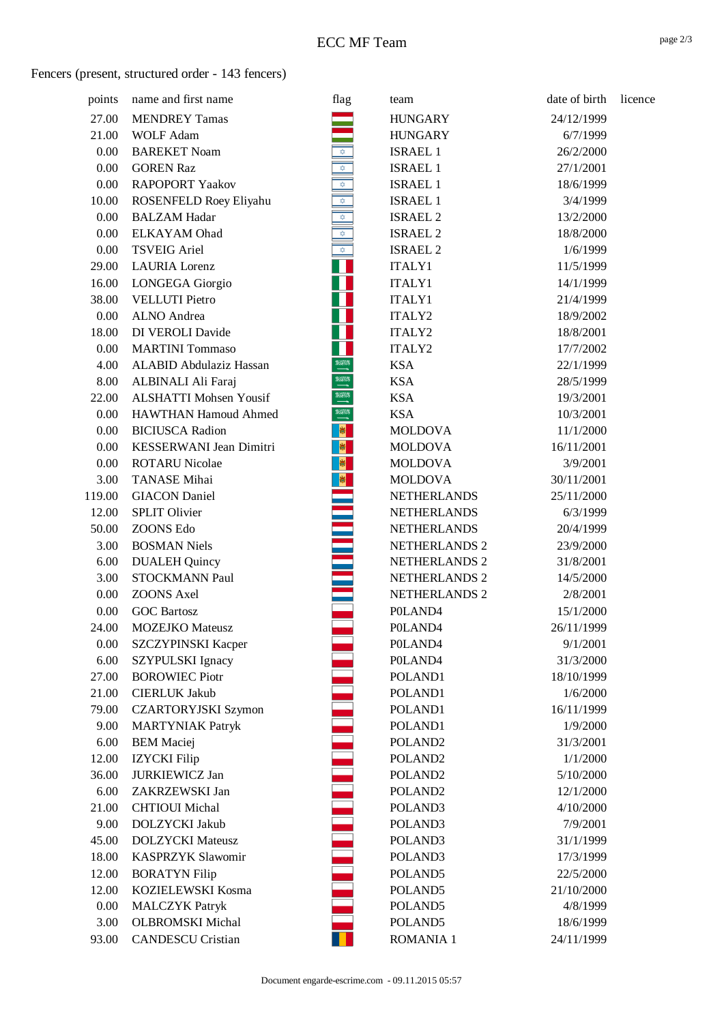## Fencers (present, structured order - 143 fencers)

| points | name and first name            | flag                              | team                | date of birth | licence |
|--------|--------------------------------|-----------------------------------|---------------------|---------------|---------|
| 27.00  | <b>MENDREY Tamas</b>           |                                   | <b>HUNGARY</b>      | 24/12/1999    |         |
| 21.00  | <b>WOLF Adam</b>               |                                   | <b>HUNGARY</b>      | 6/7/1999      |         |
| 0.00   | <b>BAREKET Noam</b>            |                                   | <b>ISRAEL 1</b>     | 26/2/2000     |         |
| 0.00   | <b>GOREN Raz</b>               | $\frac{1}{\sqrt{2}}$              | <b>ISRAEL 1</b>     | 27/1/2001     |         |
| 0.00   | <b>RAPOPORT Yaakov</b>         | $\frac{1}{\sqrt{2}}$              | <b>ISRAEL 1</b>     | 18/6/1999     |         |
| 10.00  | ROSENFELD Roey Eliyahu         | $\frac{1}{\sqrt{2}}$              | <b>ISRAEL 1</b>     | 3/4/1999      |         |
| 0.00   | <b>BALZAM Hadar</b>            |                                   | <b>ISRAEL 2</b>     | 13/2/2000     |         |
| 0.00   | <b>ELKAYAM</b> Ohad            | $\frac{\frac{1}{2}}{\frac{1}{2}}$ | ISRAEL 2            | 18/8/2000     |         |
| 0.00   | <b>TSVEIG Ariel</b>            | $\bigotimes$                      | <b>ISRAEL 2</b>     | 1/6/1999      |         |
| 29.00  | <b>LAURIA</b> Lorenz           |                                   | ITALY1              | 11/5/1999     |         |
| 16.00  | LONGEGA Giorgio                |                                   | ITALY1              | 14/1/1999     |         |
| 38.00  | <b>VELLUTI Pietro</b>          |                                   | ITALY1              | 21/4/1999     |         |
| 0.00   | ALNO Andrea                    |                                   | ITALY2              | 18/9/2002     |         |
| 18.00  | DI VEROLI Davide               |                                   | ITALY2              | 18/8/2001     |         |
| 0.00   | <b>MARTINI</b> Tommaso         |                                   | ITALY2              | 17/7/2002     |         |
| 4.00   | <b>ALABID Abdulaziz Hassan</b> | <b>HEAD</b>                       | <b>KSA</b>          | 22/1/1999     |         |
| 8.00   | ALBINALI Ali Faraj             | <b>HEAD</b>                       | <b>KSA</b>          | 28/5/1999     |         |
| 22.00  | <b>ALSHATTI Mohsen Yousif</b>  | <b>NAMA</b>                       | <b>KSA</b>          | 19/3/2001     |         |
| 0.00   | <b>HAWTHAN Hamoud Ahmed</b>    | <b>HEMA</b>                       | <b>KSA</b>          | 10/3/2001     |         |
| 0.00   | <b>BICIUSCA Radion</b>         | <b>B</b>                          | <b>MOLDOVA</b>      | 11/1/2000     |         |
| 0.00   | KESSERWANI Jean Dimitri        | 图                                 | <b>MOLDOVA</b>      | 16/11/2001    |         |
| 0.00   | <b>ROTARU Nicolae</b>          | <b>M</b>                          | <b>MOLDOVA</b>      | 3/9/2001      |         |
| 3.00   | <b>TANASE Mihai</b>            |                                   | <b>MOLDOVA</b>      | 30/11/2001    |         |
| 119.00 | <b>GIACON</b> Daniel           |                                   | <b>NETHERLANDS</b>  | 25/11/2000    |         |
| 12.00  | <b>SPLIT Olivier</b>           |                                   | <b>NETHERLANDS</b>  | 6/3/1999      |         |
| 50.00  | ZOONS Edo                      |                                   | <b>NETHERLANDS</b>  | 20/4/1999     |         |
| 3.00   | <b>BOSMAN Niels</b>            |                                   | NETHERLANDS 2       | 23/9/2000     |         |
| 6.00   | <b>DUALEH</b> Quincy           |                                   | NETHERLANDS 2       | 31/8/2001     |         |
| 3.00   | <b>STOCKMANN Paul</b>          |                                   | NETHERLANDS 2       | 14/5/2000     |         |
| 0.00   | <b>ZOONS</b> Axel              |                                   | NETHERLANDS 2       | 2/8/2001      |         |
| 0.00   | <b>GOC Bartosz</b>             |                                   | POLAND4             | 15/1/2000     |         |
| 24.00  | <b>MOZEJKO</b> Mateusz         |                                   | POLAND <sub>4</sub> | 26/11/1999    |         |
| 0.00   | <b>SZCZYPINSKI Kacper</b>      |                                   | POLAND <sub>4</sub> | 9/1/2001      |         |
| 6.00   | <b>SZYPULSKI</b> Ignacy        |                                   | POLAND4             | 31/3/2000     |         |
| 27.00  | <b>BOROWIEC Piotr</b>          |                                   | POLAND1             | 18/10/1999    |         |
| 21.00  | <b>CIERLUK Jakub</b>           |                                   | POLAND1             | 1/6/2000      |         |
| 79.00  | <b>CZARTORYJSKI Szymon</b>     |                                   | POLAND1             | 16/11/1999    |         |
| 9.00   | <b>MARTYNIAK Patryk</b>        |                                   | POLAND1             | 1/9/2000      |         |
| 6.00   | <b>BEM</b> Maciej              |                                   | POLAND <sub>2</sub> | 31/3/2001     |         |
| 12.00  | <b>IZYCKI</b> Filip            |                                   | POLAND <sub>2</sub> | 1/1/2000      |         |
| 36.00  | <b>JURKIEWICZ Jan</b>          |                                   | POLAND <sub>2</sub> | 5/10/2000     |         |
| 6.00   | ZAKRZEWSKI Jan                 |                                   | POLAND <sub>2</sub> | 12/1/2000     |         |
| 21.00  | <b>CHTIOUI</b> Michal          |                                   | POLAND <sub>3</sub> | 4/10/2000     |         |
| 9.00   | DOLZYCKI Jakub                 |                                   | POLAND <sub>3</sub> | 7/9/2001      |         |
| 45.00  | <b>DOLZYCKI</b> Mateusz        |                                   | POLAND <sub>3</sub> | 31/1/1999     |         |
| 18.00  | KASPRZYK Slawomir              |                                   | POLAND <sub>3</sub> | 17/3/1999     |         |
| 12.00  | <b>BORATYN Filip</b>           |                                   | POLAND5             | 22/5/2000     |         |
| 12.00  | KOZIELEWSKI Kosma              |                                   | POLAND5             | 21/10/2000    |         |
| 0.00   | <b>MALCZYK</b> Patryk          |                                   | POLAND <sub>5</sub> | 4/8/1999      |         |
| 3.00   | <b>OLBROMSKI</b> Michal        |                                   | POLAND <sub>5</sub> | 18/6/1999     |         |
| 93.00  | <b>CANDESCU Cristian</b>       |                                   | <b>ROMANIA 1</b>    | 24/11/1999    |         |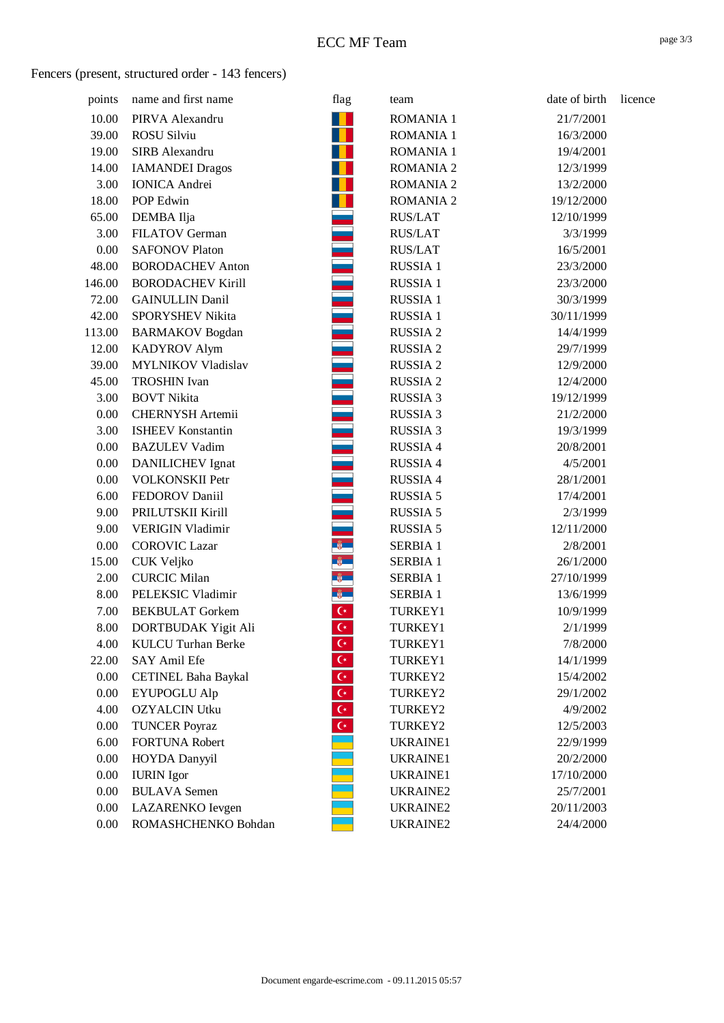## Fencers (present, structured order - 143 fencers)

| points | name and first name        | flag                      | team             | date of birth | licence |
|--------|----------------------------|---------------------------|------------------|---------------|---------|
| 10.00  | PIRVA Alexandru            |                           | <b>ROMANIA 1</b> | 21/7/2001     |         |
| 39.00  | <b>ROSU Silviu</b>         |                           | <b>ROMANIA 1</b> | 16/3/2000     |         |
| 19.00  | SIRB Alexandru             |                           | <b>ROMANIA 1</b> | 19/4/2001     |         |
| 14.00  | <b>IAMANDEI Dragos</b>     |                           | <b>ROMANIA 2</b> | 12/3/1999     |         |
| 3.00   | <b>IONICA</b> Andrei       |                           | <b>ROMANIA 2</b> | 13/2/2000     |         |
| 18.00  | POP Edwin                  |                           | <b>ROMANIA 2</b> | 19/12/2000    |         |
| 65.00  | DEMBA Ilja                 |                           | <b>RUS/LAT</b>   | 12/10/1999    |         |
| 3.00   | FILATOV German             |                           | <b>RUS/LAT</b>   | 3/3/1999      |         |
| 0.00   | <b>SAFONOV Platon</b>      |                           | <b>RUS/LAT</b>   | 16/5/2001     |         |
| 48.00  | <b>BORODACHEV Anton</b>    |                           | <b>RUSSIA 1</b>  | 23/3/2000     |         |
| 146.00 | <b>BORODACHEV Kirill</b>   |                           | RUSSIA 1         | 23/3/2000     |         |
| 72.00  | <b>GAINULLIN Danil</b>     |                           | <b>RUSSIA1</b>   | 30/3/1999     |         |
| 42.00  | SPORYSHEV Nikita           |                           | <b>RUSSIA1</b>   | 30/11/1999    |         |
| 113.00 | <b>BARMAKOV</b> Bogdan     |                           | <b>RUSSIA 2</b>  | 14/4/1999     |         |
| 12.00  | <b>KADYROV Alym</b>        |                           | <b>RUSSIA2</b>   | 29/7/1999     |         |
| 39.00  | <b>MYLNIKOV Vladislav</b>  |                           | <b>RUSSIA2</b>   | 12/9/2000     |         |
| 45.00  | <b>TROSHIN</b> Ivan        |                           | <b>RUSSIA2</b>   | 12/4/2000     |         |
| 3.00   | <b>BOVT Nikita</b>         |                           | <b>RUSSIA 3</b>  | 19/12/1999    |         |
| 0.00   | <b>CHERNYSH Artemii</b>    |                           | <b>RUSSIA 3</b>  | 21/2/2000     |         |
| 3.00   | <b>ISHEEV Konstantin</b>   |                           | <b>RUSSIA 3</b>  | 19/3/1999     |         |
| 0.00   | <b>BAZULEV Vadim</b>       |                           | <b>RUSSIA 4</b>  | 20/8/2001     |         |
| 0.00   | <b>DANILICHEV</b> Ignat    |                           | <b>RUSSIA 4</b>  | 4/5/2001      |         |
| 0.00   | <b>VOLKONSKII Petr</b>     |                           | <b>RUSSIA 4</b>  | 28/1/2001     |         |
| 6.00   | FEDOROV Daniil             |                           | <b>RUSSIA 5</b>  | 17/4/2001     |         |
| 9.00   | PRILUTSKII Kirill          |                           | <b>RUSSIA 5</b>  | 2/3/1999      |         |
| 9.00   | <b>VERIGIN Vladimir</b>    |                           | <b>RUSSIA 5</b>  | 12/11/2000    |         |
| 0.00   | <b>COROVIC Lazar</b>       |                           | <b>SERBIA 1</b>  | 2/8/2001      |         |
| 15.00  | <b>CUK Veljko</b>          |                           | <b>SERBIA 1</b>  | 26/1/2000     |         |
| 2.00   | <b>CURCIC Milan</b>        |                           | <b>SERBIA 1</b>  | 27/10/1999    |         |
| 8.00   | PELEKSIC Vladimir          |                           | <b>SERBIA 1</b>  | 13/6/1999     |         |
| 7.00   | <b>BEKBULAT</b> Gorkem     | $\mathsf{C}^{\star}$      | TURKEY1          | 10/9/1999     |         |
| 8.00   | DORTBUDAK Yigit Ali        | $\mathsf{C}^\star$        | TURKEY1          | 2/1/1999      |         |
| 4.00   | <b>KULCU Turhan Berke</b>  | $C^*$                     | TURKEY1          | 7/8/2000      |         |
| 22.00  | SAY Amil Efe               | $\mathsf{C}^\star$        | TURKEY1          | 14/1/1999     |         |
| 0.00   | <b>CETINEL Baha Baykal</b> | $\mathsf{C}^\star$        | TURKEY2          | 15/4/2002     |         |
| 0.00   | <b>EYUPOGLU Alp</b>        | $\overline{\mathsf{C}^*}$ | TURKEY2          | 29/1/2002     |         |
| 4.00   | <b>OZYALCIN Utku</b>       | $\overline{C^*}$          | TURKEY2          | 4/9/2002      |         |
| 0.00   | <b>TUNCER Poyraz</b>       | $\mathsf{C}^*$            | TURKEY2          | 12/5/2003     |         |
| 6.00   | <b>FORTUNA Robert</b>      |                           | UKRAINE1         | 22/9/1999     |         |
| 0.00   | HOYDA Danyyil              |                           | <b>UKRAINE1</b>  | 20/2/2000     |         |
| 0.00   | <b>IURIN</b> Igor          |                           | <b>UKRAINE1</b>  | 17/10/2000    |         |
| 0.00   | <b>BULAVA</b> Semen        |                           | <b>UKRAINE2</b>  | 25/7/2001     |         |
| 0.00   | LAZARENKO Ievgen           |                           | <b>UKRAINE2</b>  | 20/11/2003    |         |
| 0.00   | ROMASHCHENKO Bohdan        |                           | <b>UKRAINE2</b>  | 24/4/2000     |         |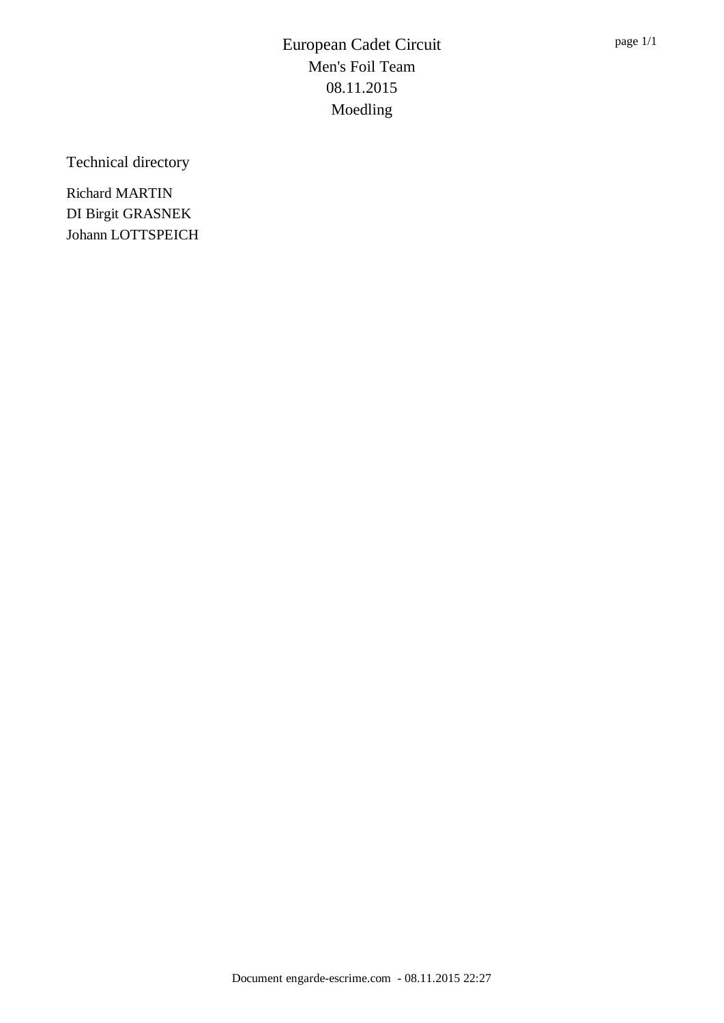Technical directory

Richard MARTIN DI Birgit GRASNEK Johann LOTTSPEICH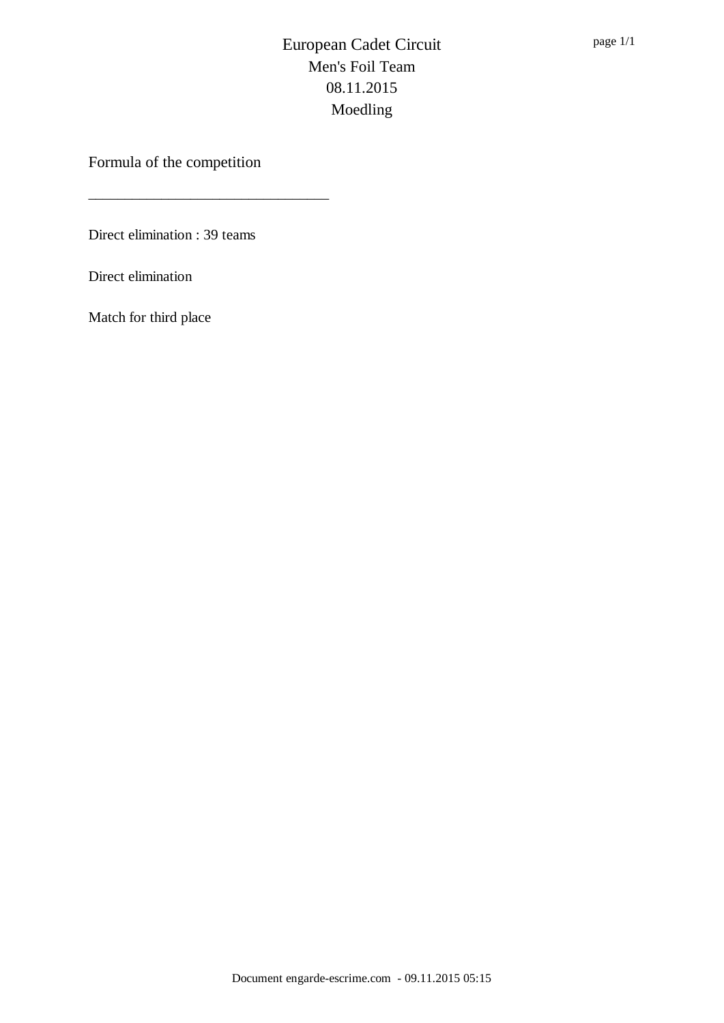Formula of the competition

\_\_\_\_\_\_\_\_\_\_\_\_\_\_\_\_\_\_\_\_\_\_\_\_\_\_\_\_\_\_\_\_\_

Direct elimination : 39 teams

Direct elimination

Match for third place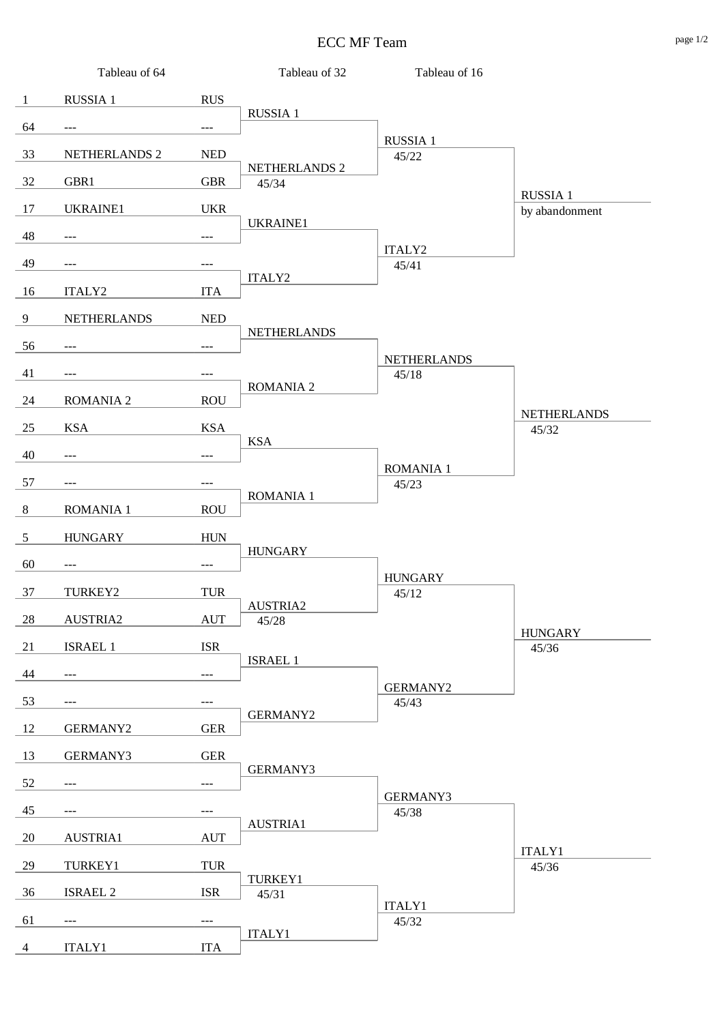## ECC MF Team page 1/2

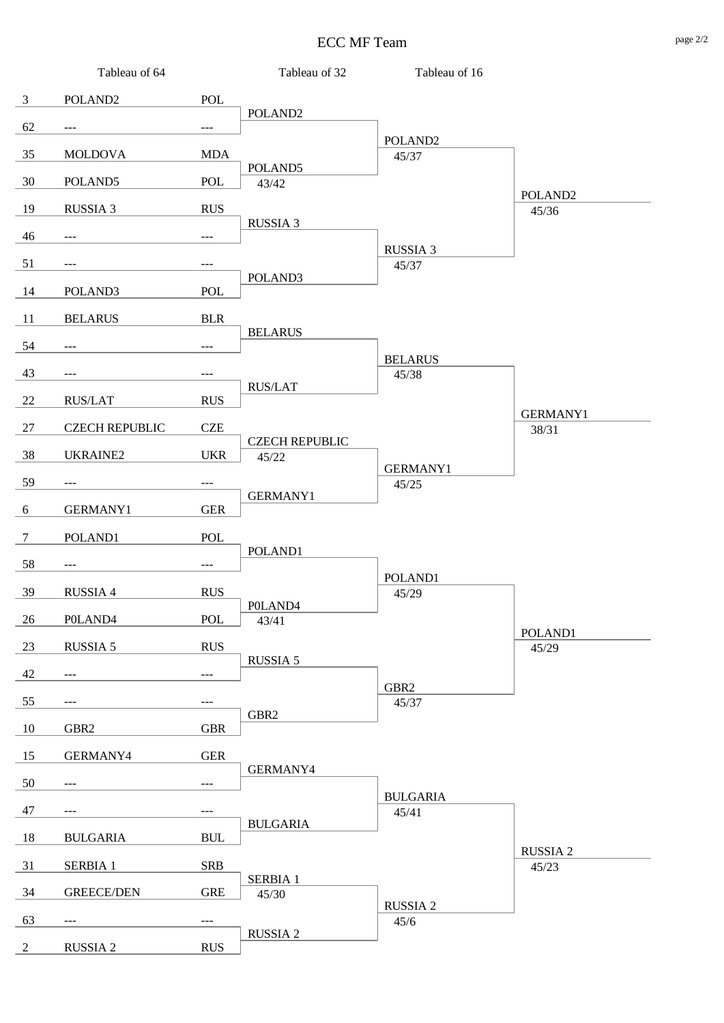## ECC MF Team page 2/2

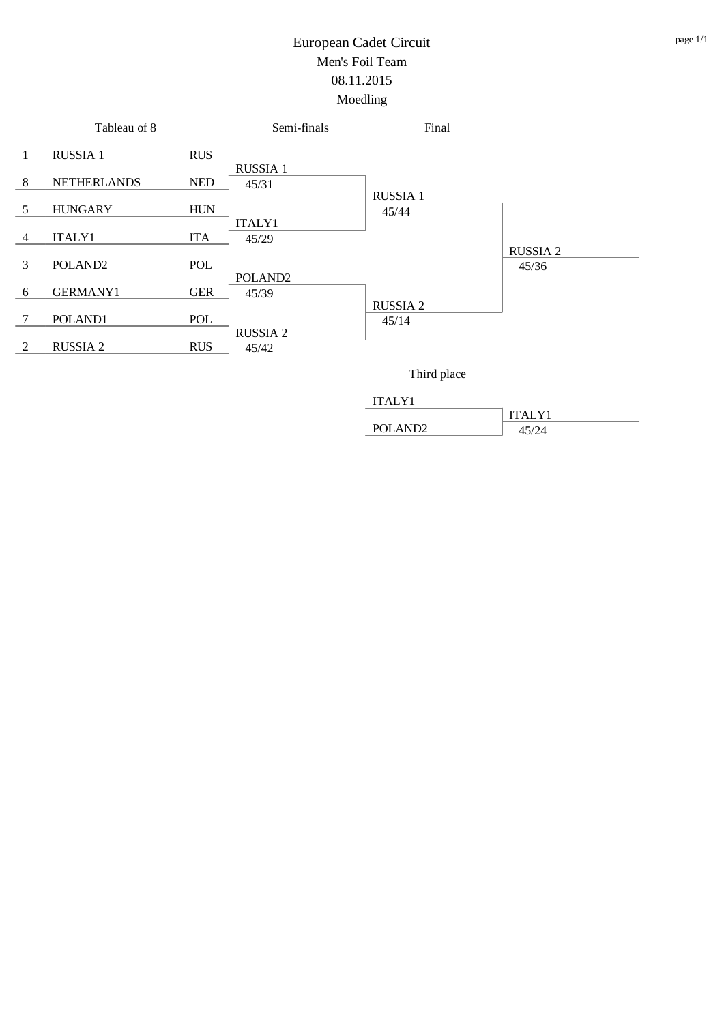



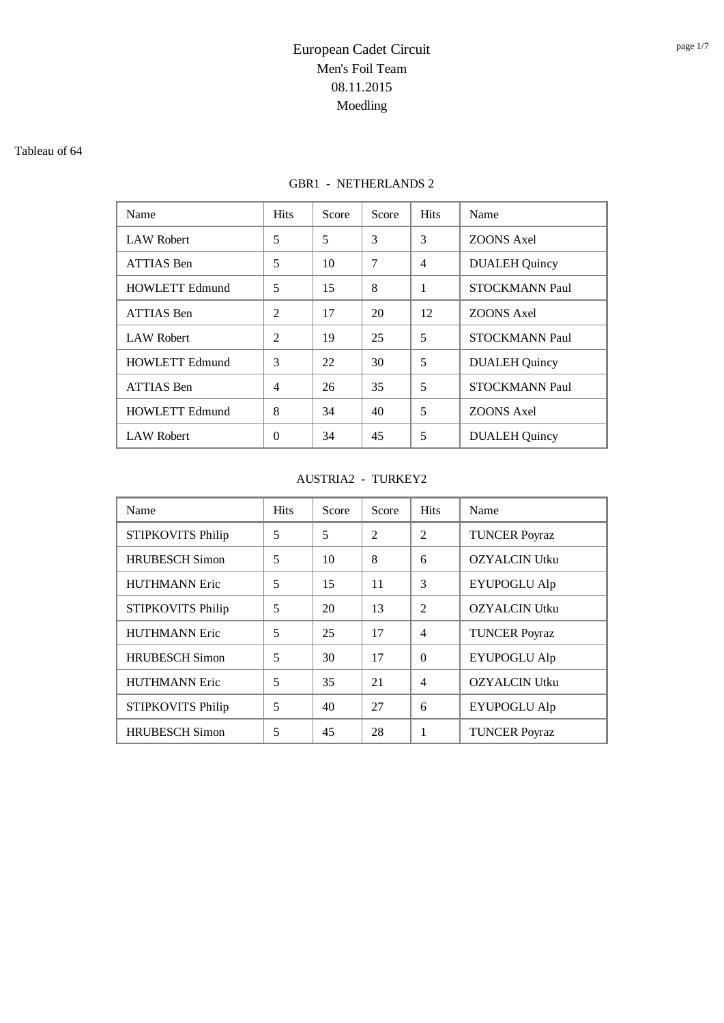#### Tableau of 64

## GBR1 - NETHERLANDS 2

| Name                  | <b>Hits</b>    | Score | Score | <b>Hits</b>    | Name                  |
|-----------------------|----------------|-------|-------|----------------|-----------------------|
| <b>LAW Robert</b>     | 5              | 5     | 3     | 3              | <b>ZOONS</b> Axel     |
| <b>ATTIAS Ben</b>     | 5              | 10    | 7     | $\overline{4}$ | <b>DUALEH Quincy</b>  |
| <b>HOWLETT Edmund</b> | 5              | 15    | 8     | 1              | <b>STOCKMANN Paul</b> |
| <b>ATTIAS Ben</b>     | $\mathfrak{D}$ | 17    | 20    | 12             | ZOONS Axel            |
| <b>LAW Robert</b>     | $\overline{2}$ | 19    | 25    | 5              | <b>STOCKMANN Paul</b> |
| <b>HOWLETT Edmund</b> | 3              | 22    | 30    | 5              | <b>DUALEH Quincy</b>  |
| <b>ATTIAS Ben</b>     | 4              | 26    | 35    | 5              | <b>STOCKMANN Paul</b> |
| <b>HOWLETT Edmund</b> | 8              | 34    | 40    | 5              | <b>ZOONS</b> Axel     |
| <b>LAW Robert</b>     | $\theta$       | 34    | 45    | 5              | <b>DUALEH Quincy</b>  |

### AUSTRIA2 - TURKEY2

| Name                     | <b>Hits</b> | Score | Score          | <b>Hits</b>              | Name                 |
|--------------------------|-------------|-------|----------------|--------------------------|----------------------|
| <b>STIPKOVITS Philip</b> | 5           | 5     | $\overline{2}$ | $\overline{2}$           | <b>TUNCER Poyraz</b> |
| <b>HRUBESCH Simon</b>    | 5           | 10    | 8              | 6                        | <b>OZYALCIN Utku</b> |
| <b>HUTHMANN Eric</b>     | 5           | 15    | 11             | 3                        | <b>EYUPOGLU Alp</b>  |
| <b>STIPKOVITS Philip</b> | 5           | 20    | 13             | $\overline{\mathcal{L}}$ | <b>OZYALCIN Utku</b> |
| <b>HUTHMANN Eric</b>     | 5           | 25    | 17             | $\overline{4}$           | <b>TUNCER Poyraz</b> |
| <b>HRUBESCH Simon</b>    | 5           | 30    | 17             | $\Omega$                 | <b>EYUPOGLU Alp</b>  |
| <b>HUTHMANN Eric</b>     | 5           | 35    | 21             | $\overline{4}$           | <b>OZYALCIN Utku</b> |
| <b>STIPKOVITS Philip</b> | 5           | 40    | 27             | 6                        | <b>EYUPOGLU Alp</b>  |
| <b>HRUBESCH Simon</b>    | 5           | 45    | 28             | 1                        | <b>TUNCER Poyraz</b> |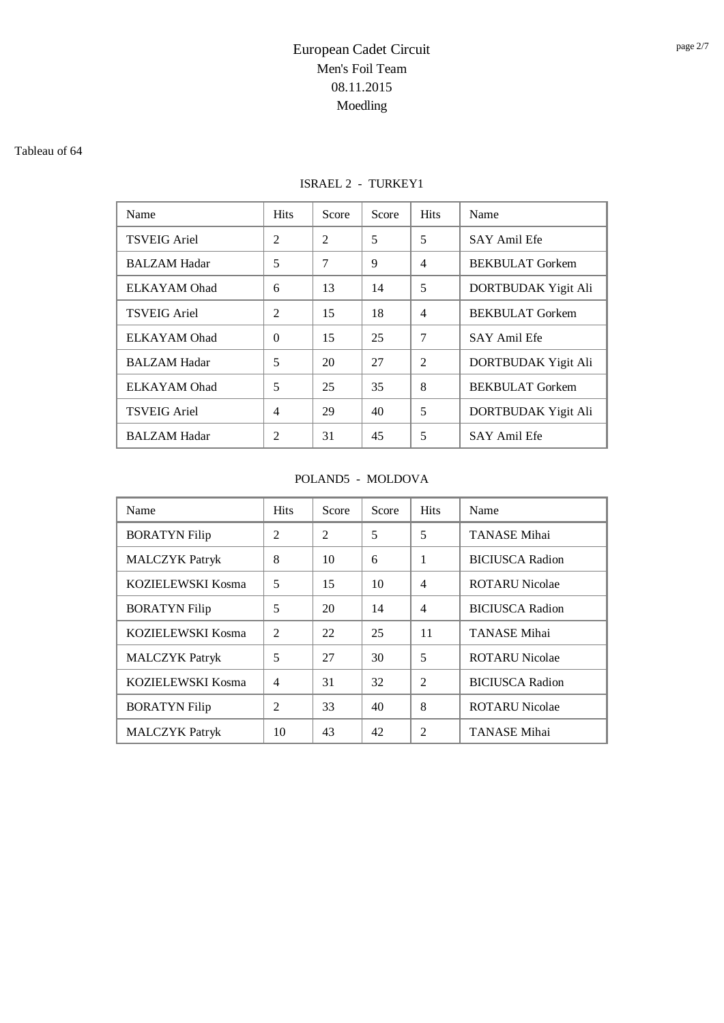#### Tableau of 64

## ISRAEL 2 - TURKEY1

| Name                | <b>Hits</b>    | Score          | Score | <b>Hits</b>    | Name                   |
|---------------------|----------------|----------------|-------|----------------|------------------------|
| <b>TSVEIG Ariel</b> | 2              | $\overline{2}$ | 5     | 5              | <b>SAY Amil Efe</b>    |
| <b>BALZAM Hadar</b> | 5              | 7              | 9     | $\overline{4}$ | <b>BEKBULAT</b> Gorkem |
| ELKAYAM Ohad        | 6              | 13             | 14    | 5              | DORTBUDAK Yigit Ali    |
| <b>TSVEIG Ariel</b> | $\mathfrak{D}$ | 15             | 18    | $\overline{4}$ | <b>BEKBULAT</b> Gorkem |
| ELKAYAM Ohad        | $\Omega$       | 15             | 25    | $\overline{7}$ | <b>SAY Amil Efe</b>    |
| <b>BALZAM Hadar</b> | 5              | 20             | 27    | $\overline{2}$ | DORTBUDAK Yigit Ali    |
| ELKAYAM Ohad        | 5              | 25             | 35    | 8              | <b>BEKBULAT</b> Gorkem |
| <b>TSVEIG Ariel</b> | $\overline{4}$ | 29             | 40    | 5              | DORTBUDAK Yigit Ali    |
| <b>BALZAM Hadar</b> | $\mathfrak{D}$ | 31             | 45    | 5              | <b>SAY Amil Efe</b>    |

### POLAND5 - MOLDOVA

| Name                  | <b>Hits</b>    | Score          | Score | <b>Hits</b>    | Name                   |
|-----------------------|----------------|----------------|-------|----------------|------------------------|
| <b>BORATYN Filip</b>  | $\overline{c}$ | $\mathfrak{D}$ | 5     | 5              | <b>TANASE Mihai</b>    |
| <b>MALCZYK Patryk</b> | 8              | 10             | 6     | 1              | <b>BICIUSCA Radion</b> |
| KOZIELEWSKI Kosma     | 5              | 15             | 10    | $\overline{4}$ | <b>ROTARU Nicolae</b>  |
| <b>BORATYN Filip</b>  | 5              | 20             | 14    | $\overline{4}$ | <b>BICIUSCA Radion</b> |
| KOZIELEWSKI Kosma     | $\overline{c}$ | 22             | 25    | 11             | TANASE Mihai           |
| <b>MALCZYK</b> Patryk | 5              | 27             | 30    | 5              | <b>ROTARU Nicolae</b>  |
| KOZIELEWSKI Kosma     | $\overline{4}$ | 31             | 32    | $\mathfrak{D}$ | <b>BICIUSCA Radion</b> |
| <b>BORATYN Filip</b>  | $\overline{c}$ | 33             | 40    | 8              | <b>ROTARU Nicolae</b>  |
| <b>MALCZYK</b> Patryk | 10             | 43             | 42    | $\mathfrak{D}$ | TANASE Mihai           |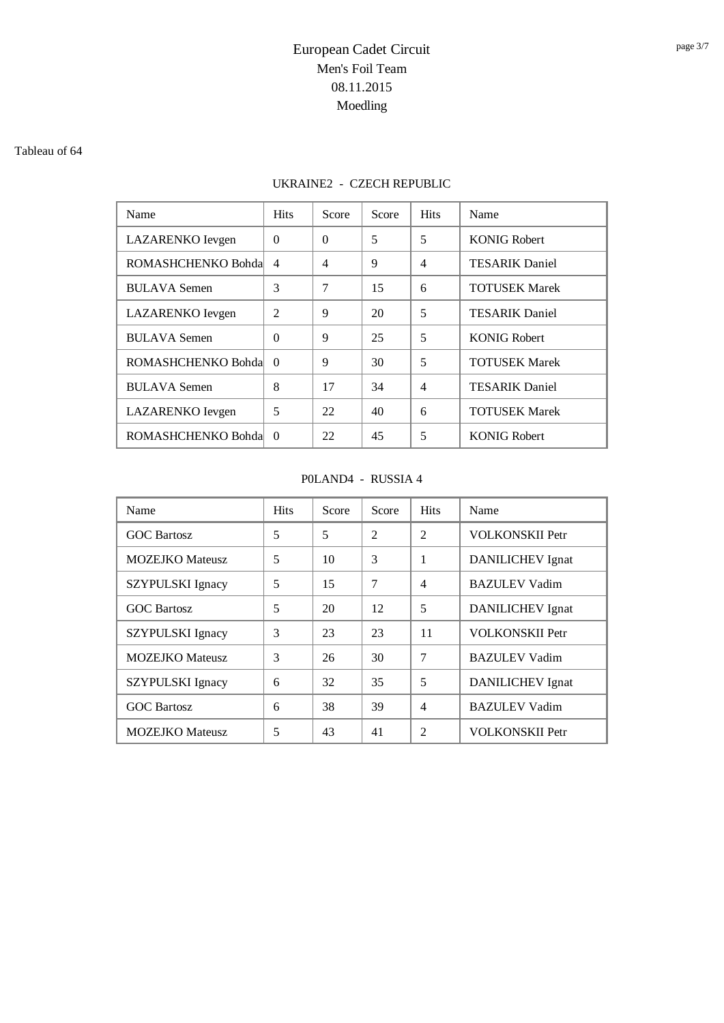#### Tableau of 64

## UKRAINE2 - CZECH REPUBLIC

| Name                | <b>Hits</b>    | Score    | Score | <b>Hits</b>    | Name                  |
|---------------------|----------------|----------|-------|----------------|-----------------------|
| LAZARENKO Ievgen    | $\Omega$       | $\Omega$ | 5     | 5              | <b>KONIG Robert</b>   |
| ROMASHCHENKO Bohda  | $\overline{4}$ | 4        | 9     | $\overline{4}$ | <b>TESARIK Daniel</b> |
| <b>BULAVA</b> Semen | 3              | 7        | 15    | 6              | <b>TOTUSEK Marek</b>  |
| LAZARENKO Ievgen    | $\mathfrak{D}$ | 9        | 20    | 5              | <b>TESARIK Daniel</b> |
| <b>BULAVA</b> Semen | $\Omega$       | 9        | 25    | 5              | <b>KONIG Robert</b>   |
| ROMASHCHENKO Bohda  | $\Omega$       | 9        | 30    | 5              | <b>TOTUSEK Marek</b>  |
| <b>BULAVA</b> Semen | 8              | 17       | 34    | $\overline{4}$ | <b>TESARIK Daniel</b> |
| LAZARENKO Ievgen    | 5              | 22       | 40    | 6              | <b>TOTUSEK Marek</b>  |
| ROMASHCHENKO Bohda  | $\Omega$       | 22       | 45    | 5              | <b>KONIG Robert</b>   |

### P0LAND4 - RUSSIA 4

| Name                    | <b>Hits</b> | Score | Score          | <b>Hits</b>    | Name                    |
|-------------------------|-------------|-------|----------------|----------------|-------------------------|
| <b>GOC Bartosz</b>      | 5           | 5     | $\overline{2}$ | $\overline{2}$ | <b>VOLKONSKII Petr</b>  |
| <b>MOZEJKO</b> Mateusz  | 5           | 10    | 3              | 1              | <b>DANILICHEV</b> Ignat |
| <b>SZYPULSKI</b> Ignacy | 5           | 15    | 7              | $\overline{4}$ | <b>BAZULEV Vadim</b>    |
| <b>GOC Bartosz</b>      | 5           | 20    | 12             | 5              | <b>DANILICHEV</b> Ignat |
| SZYPULSKI Ignacy        | 3           | 23    | 23             | 11             | <b>VOLKONSKII Petr</b>  |
| <b>MOZEJKO</b> Mateusz  | 3           | 26    | 30             | 7              | <b>BAZULEV Vadim</b>    |
| SZYPULSKI Ignacy        | 6           | 32    | 35             | 5              | DANILICHEV Ignat        |
| <b>GOC Bartosz</b>      | 6           | 38    | 39             | $\overline{4}$ | <b>BAZULEV Vadim</b>    |
| <b>MOZEJKO</b> Mateusz  | 5           | 43    | 41             | 2              | <b>VOLKONSKII Petr</b>  |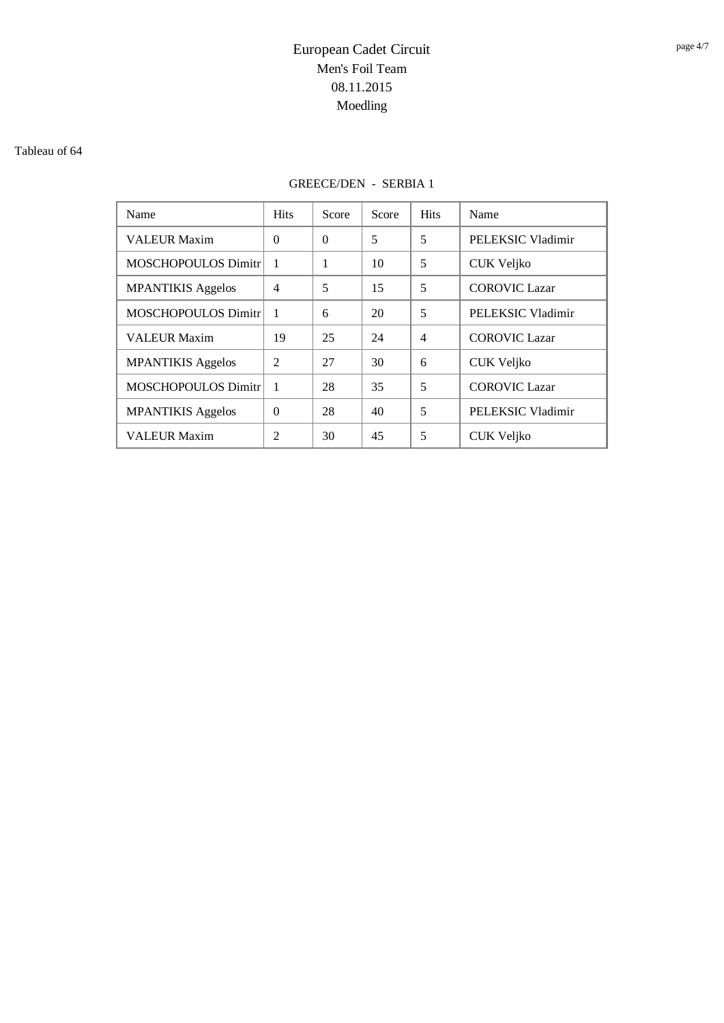#### Tableau of 64

## GREECE/DEN - SERBIA 1

| Name                       | <b>Hits</b>    | Score    | Score | <b>Hits</b>    | Name                 |
|----------------------------|----------------|----------|-------|----------------|----------------------|
| <b>VALEUR Maxim</b>        | $\Omega$       | $\theta$ | 5     | 5              | PELEKSIC Vladimir    |
| <b>MOSCHOPOULOS Dimitr</b> |                | 1        | 10    | 5              | <b>CUK Veljko</b>    |
| <b>MPANTIKIS Aggelos</b>   | $\overline{4}$ | 5        | 15    | 5              | <b>COROVIC Lazar</b> |
| <b>MOSCHOPOULOS Dimitr</b> |                | 6        | 20    | 5              | PELEKSIC Vladimir    |
| <b>VALEUR Maxim</b>        | 19             | 25       | 24    | $\overline{4}$ | <b>COROVIC Lazar</b> |
| <b>MPANTIKIS Aggelos</b>   | $\mathfrak{D}$ | 27       | 30    | 6              | CUK Veljko           |
| <b>MOSCHOPOULOS Dimitr</b> |                | 28       | 35    | 5              | <b>COROVIC Lazar</b> |
| <b>MPANTIKIS Aggelos</b>   | $\Omega$       | 28       | 40    | 5              | PELEKSIC Vladimir    |
| <b>VALEUR Maxim</b>        | $\mathfrak{D}$ | 30       | 45    | 5              | CUK Veljko           |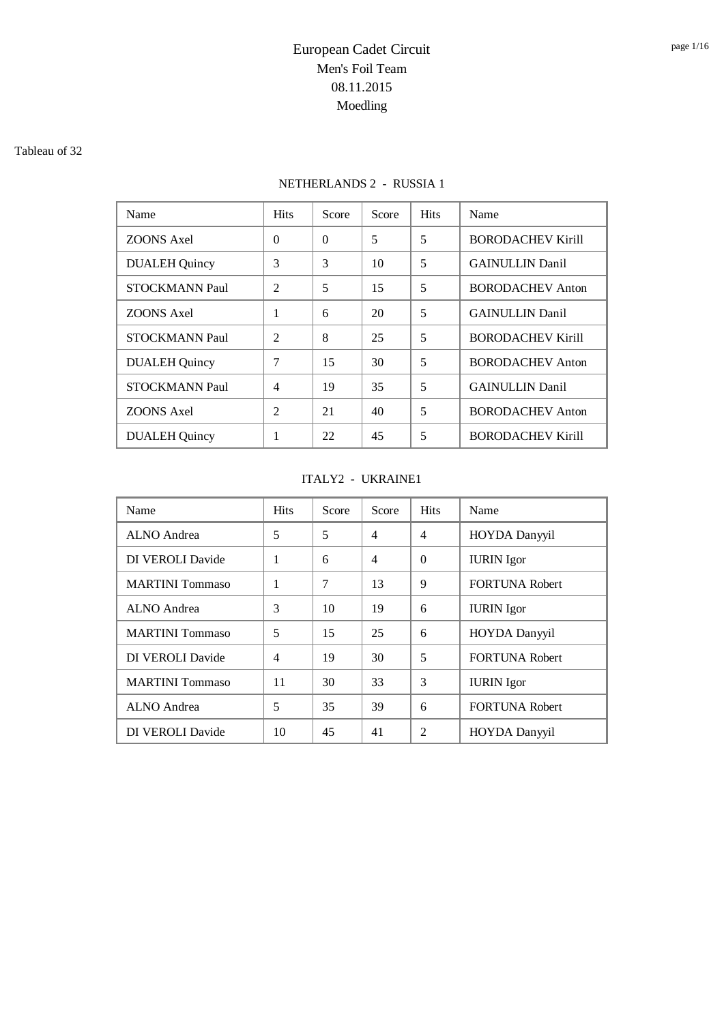#### Tableau of 32

## NETHERLANDS 2 - RUSSIA 1

| Name                  | <b>Hits</b>    | Score    | Score | <b>Hits</b> | Name                     |
|-----------------------|----------------|----------|-------|-------------|--------------------------|
| <b>ZOONS Axel</b>     | $\theta$       | $\Omega$ | 5     | 5           | <b>BORODACHEV Kirill</b> |
| <b>DUALEH Quincy</b>  | 3              | 3        | 10    | 5           | <b>GAINULLIN Danil</b>   |
| <b>STOCKMANN Paul</b> | $\mathfrak{D}$ | 5        | 15    | 5           | <b>BORODACHEV Anton</b>  |
| <b>ZOONS Axel</b>     | 1              | 6        | 20    | 5           | <b>GAINULLIN Danil</b>   |
| <b>STOCKMANN Paul</b> | $\overline{2}$ | 8        | 25    | 5           | <b>BORODACHEV Kirill</b> |
| <b>DUALEH Quincy</b>  | 7              | 15       | 30    | 5           | <b>BORODACHEV Anton</b>  |
| <b>STOCKMANN Paul</b> | 4              | 19       | 35    | 5           | <b>GAINULLIN</b> Danil   |
| <b>ZOONS Axel</b>     | $\mathfrak{D}$ | 21       | 40    | 5           | <b>BORODACHEV Anton</b>  |
| <b>DUALEH</b> Quincy  | 1              | 22       | 45    | 5           | <b>BORODACHEV Kirill</b> |

### ITALY2 - UKRAINE1

| Name                    | <b>Hits</b>    | Score | Score          | <b>Hits</b>    | Name                  |
|-------------------------|----------------|-------|----------------|----------------|-----------------------|
| ALNO Andrea             | 5              | 5     | $\overline{4}$ | $\overline{4}$ | <b>HOYDA Danyyil</b>  |
| DI VEROLI Davide        | 1              | 6     | $\overline{4}$ | $\Omega$       | <b>IURIN</b> Igor     |
| <b>MARTINI</b> Tommaso  | 1              | 7     | 13             | 9              | <b>FORTUNA Robert</b> |
| ALNO Andrea             | 3              | 10    | 19             | 6              | <b>IURIN</b> Igor     |
| <b>MARTINI</b> Tommaso  | 5              | 15    | 25             | 6              | <b>HOYDA</b> Danyyil  |
| DI VEROLI Davide        | $\overline{4}$ | 19    | 30             | 5              | <b>FORTUNA Robert</b> |
| <b>MARTINI</b> Tommaso  | 11             | 30    | 33             | 3              | <b>IURIN</b> Igor     |
| ALNO Andrea             | 5              | 35    | 39             | 6              | <b>FORTUNA Robert</b> |
| <b>DI VEROLI Davide</b> | 10             | 45    | 41             | 2              | <b>HOYDA</b> Danyyil  |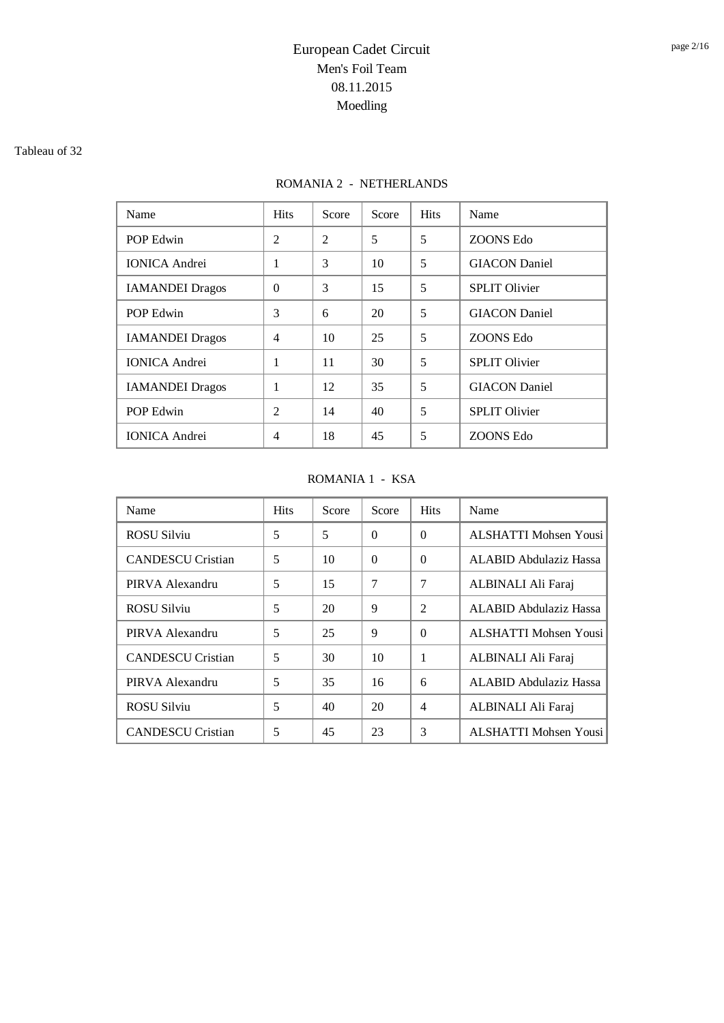#### Tableau of 32

## ROMANIA 2 - NETHERLANDS

| Name                   | <b>Hits</b>    | Score          | Score | <b>Hits</b> | Name                 |
|------------------------|----------------|----------------|-------|-------------|----------------------|
| POP Edwin              | $\overline{2}$ | $\mathfrak{D}$ | 5     | 5           | ZOONS Edo            |
| <b>IONICA</b> Andrei   | 1              | 3              | 10    | 5           | <b>GIACON</b> Daniel |
| <b>IAMANDEI</b> Dragos | $\Omega$       | 3              | 15    | 5           | <b>SPLIT Olivier</b> |
| POP Edwin              | 3              | 6              | 20    | 5           | <b>GIACON</b> Daniel |
| <b>IAMANDEI</b> Dragos | $\overline{4}$ | 10             | 25    | 5           | ZOONS Edo            |
| <b>IONICA</b> Andrei   | 1              | 11             | 30    | 5           | <b>SPLIT Olivier</b> |
| <b>IAMANDEI</b> Dragos | 1              | 12             | 35    | 5           | <b>GIACON</b> Daniel |
| POP Edwin              | $\overline{c}$ | 14             | 40    | 5           | <b>SPLIT Olivier</b> |
| <b>IONICA</b> Andrei   | 4              | 18             | 45    | 5           | ZOONS Edo            |

### ROMANIA 1 - KSA

| Name                     | <b>Hits</b> | Score | Score    | <b>Hits</b>    | Name                   |
|--------------------------|-------------|-------|----------|----------------|------------------------|
| <b>ROSU Silviu</b>       | 5           | 5     | $\Omega$ | $\Omega$       | ALSHATTI Mohsen Yousi  |
| <b>CANDESCU</b> Cristian | 5           | 10    | $\Omega$ | $\Omega$       | ALABID Abdulaziz Hassa |
| PIRVA Alexandru          | 5           | 15    | 7        | 7              | ALBINALI Ali Faraj     |
| <b>ROSU Silviu</b>       | 5           | 20    | 9        | $\mathfrak{D}$ | ALABID Abdulaziz Hassa |
| PIRVA Alexandru          | 5           | 25    | 9        | $\Omega$       | ALSHATTI Mohsen Yousi  |
| <b>CANDESCU</b> Cristian | 5           | 30    | 10       | 1              | ALBINALI Ali Faraj     |
| PIRVA Alexandru          | 5           | 35    | 16       | 6              | ALABID Abdulaziz Hassa |
| <b>ROSU Silviu</b>       | 5           | 40    | 20       | $\overline{4}$ | ALBINALI Ali Faraj     |
| <b>CANDESCU</b> Cristian | 5           | 45    | 23       | 3              | ALSHATTI Mohsen Yousi  |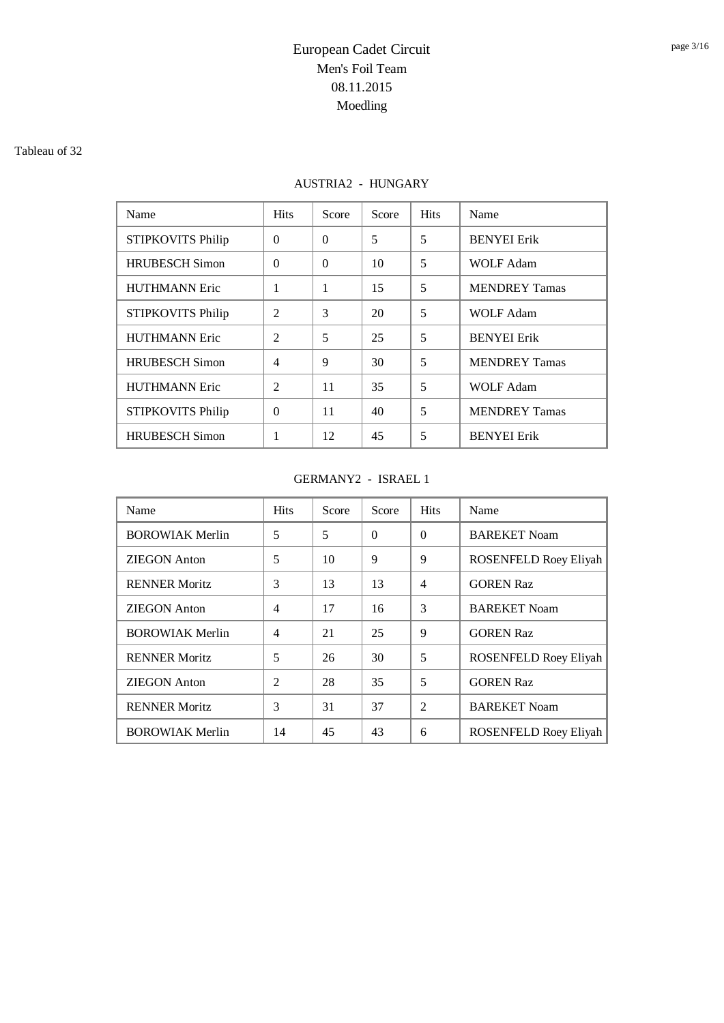#### Tableau of 32

## AUSTRIA2 - HUNGARY

| Name                     | <b>Hits</b>    | Score    | Score | <b>Hits</b> | Name                 |
|--------------------------|----------------|----------|-------|-------------|----------------------|
| STIPKOVITS Philip        | $\Omega$       | $\Omega$ | 5     | 5           | <b>BENYEI</b> Erik   |
| <b>HRUBESCH Simon</b>    | $\Omega$       | $\Omega$ | 10    | 5           | <b>WOLF Adam</b>     |
| <b>HUTHMANN Eric</b>     | 1              | 1        | 15    | 5           | <b>MENDREY Tamas</b> |
| STIPKOVITS Philip        | $\mathfrak{D}$ | 3        | 20    | 5           | <b>WOLF Adam</b>     |
| <b>HUTHMANN Eric</b>     | $\mathfrak{D}$ | 5        | 25    | 5           | <b>BENYEI</b> Erik   |
| <b>HRUBESCH Simon</b>    | $\overline{4}$ | 9        | 30    | 5           | <b>MENDREY Tamas</b> |
| <b>HUTHMANN Eric</b>     | $\mathfrak{D}$ | 11       | 35    | 5           | <b>WOLF Adam</b>     |
| <b>STIPKOVITS Philip</b> | $\Omega$       | 11       | 40    | 5           | <b>MENDREY Tamas</b> |
| <b>HRUBESCH</b> Simon    | 1              | 12       | 45    | 5           | <b>BENYEI</b> Erik   |

### GERMANY2 - ISRAEL 1

| Name                   | <b>Hits</b>    | Score | Score    | <b>Hits</b>    | Name                         |
|------------------------|----------------|-------|----------|----------------|------------------------------|
| <b>BOROWIAK Merlin</b> | 5              | 5     | $\theta$ | $\Omega$       | <b>BAREKET Noam</b>          |
| ZIEGON Anton           | 5              | 10    | 9        | 9              | <b>ROSENFELD Roey Eliyah</b> |
| <b>RENNER Moritz</b>   | 3              | 13    | 13       | $\overline{4}$ | <b>GOREN Raz</b>             |
| <b>ZIEGON</b> Anton    | $\overline{4}$ | 17    | 16       | 3              | <b>BAREKET Noam</b>          |
| <b>BOROWIAK Merlin</b> | $\overline{4}$ | 21    | 25       | 9              | <b>GOREN Raz</b>             |
| <b>RENNER Moritz</b>   | 5              | 26    | 30       | 5              | <b>ROSENFELD Roey Eliyah</b> |
| <b>ZIEGON</b> Anton    | $\overline{c}$ | 28    | 35       | 5              | <b>GOREN Raz</b>             |
| <b>RENNER Moritz</b>   | 3              | 31    | 37       | $\mathfrak{D}$ | <b>BAREKET Noam</b>          |
| <b>BOROWIAK Merlin</b> | 14             | 45    | 43       | 6              | ROSENFELD Roey Eliyah        |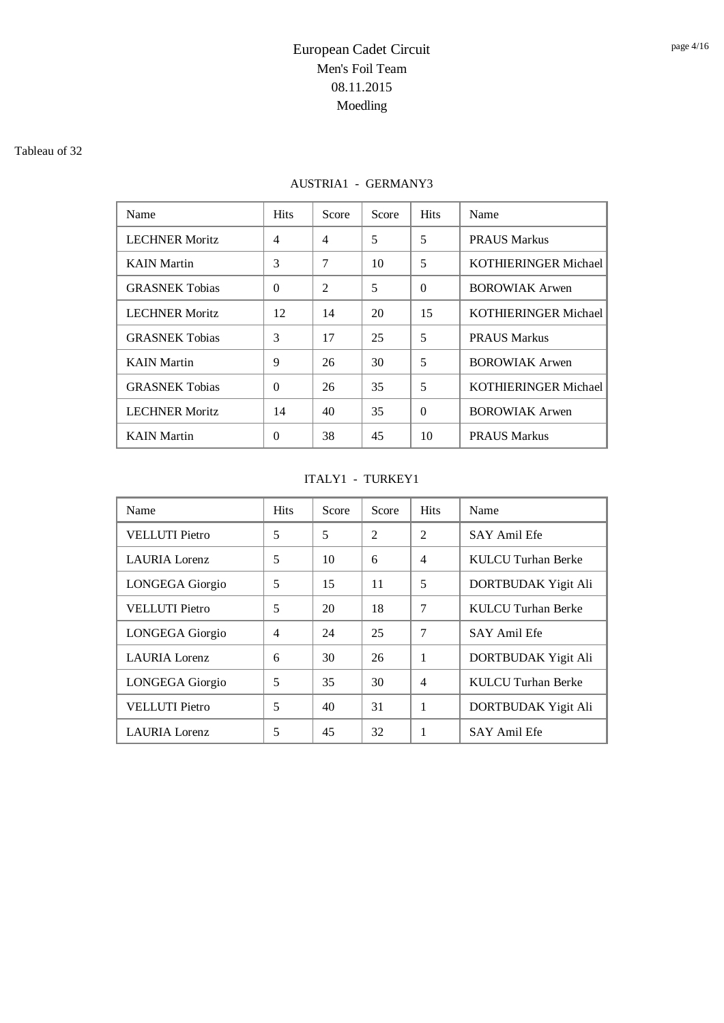#### Tableau of 32

## AUSTRIA1 - GERMANY3

| Name                  | <b>Hits</b>    | Score          | Score | <b>Hits</b> | Name                        |
|-----------------------|----------------|----------------|-------|-------------|-----------------------------|
| <b>LECHNER Moritz</b> | $\overline{4}$ | $\overline{4}$ | 5     | 5           | <b>PRAUS Markus</b>         |
| <b>KAIN</b> Martin    | 3              | 7              | 10    | 5           | <b>KOTHIERINGER Michael</b> |
| <b>GRASNEK Tobias</b> | $\Omega$       | 2              | 5     | $\Omega$    | <b>BOROWIAK Arwen</b>       |
| <b>LECHNER Moritz</b> | 12             | 14             | 20    | 15          | <b>KOTHIERINGER Michael</b> |
| <b>GRASNEK Tobias</b> | 3              | 17             | 25    | 5           | PRAUS Markus                |
| <b>KAIN</b> Martin    | 9              | 26             | 30    | 5           | <b>BOROWIAK Arwen</b>       |
| <b>GRASNEK Tobias</b> | $\Omega$       | 26             | 35    | 5           | <b>KOTHIERINGER Michael</b> |
| <b>LECHNER Moritz</b> | 14             | 40             | 35    | $\Omega$    | <b>BOROWIAK Arwen</b>       |
| <b>KAIN</b> Martin    | $\Omega$       | 38             | 45    | 10          | <b>PRAUS Markus</b>         |

### ITALY1 - TURKEY1

| Name                   | <b>Hits</b> | Score | Score          | <b>Hits</b>    | Name                |
|------------------------|-------------|-------|----------------|----------------|---------------------|
| <b>VELLUTI Pietro</b>  | 5           | 5     | $\mathfrak{D}$ | $\mathfrak{D}$ | SAY Amil Efe        |
| <b>LAURIA</b> Lorenz   | 5           | 10    | 6              | $\overline{4}$ | KULCU Turhan Berke  |
| LONGEGA Giorgio        | 5           | 15    | 11             | 5              | DORTBUDAK Yigit Ali |
| <b>VELLUTI Pietro</b>  | 5           | 20    | 18             | 7              | KULCU Turhan Berke  |
| LONGEGA Giorgio        | 4           | 24    | 25             | 7              | <b>SAY Amil Efe</b> |
| <b>LAURIA</b> Lorenz   | 6           | 30    | 26             | 1              | DORTBUDAK Yigit Ali |
| <b>LONGEGA</b> Giorgio | 5           | 35    | 30             | $\overline{4}$ | KULCU Turhan Berke  |
| <b>VELLUTI Pietro</b>  | 5           | 40    | 31             | 1              | DORTBUDAK Yigit Ali |
| <b>LAURIA</b> Lorenz   | 5           | 45    | 32             |                | <b>SAY Amil Efe</b> |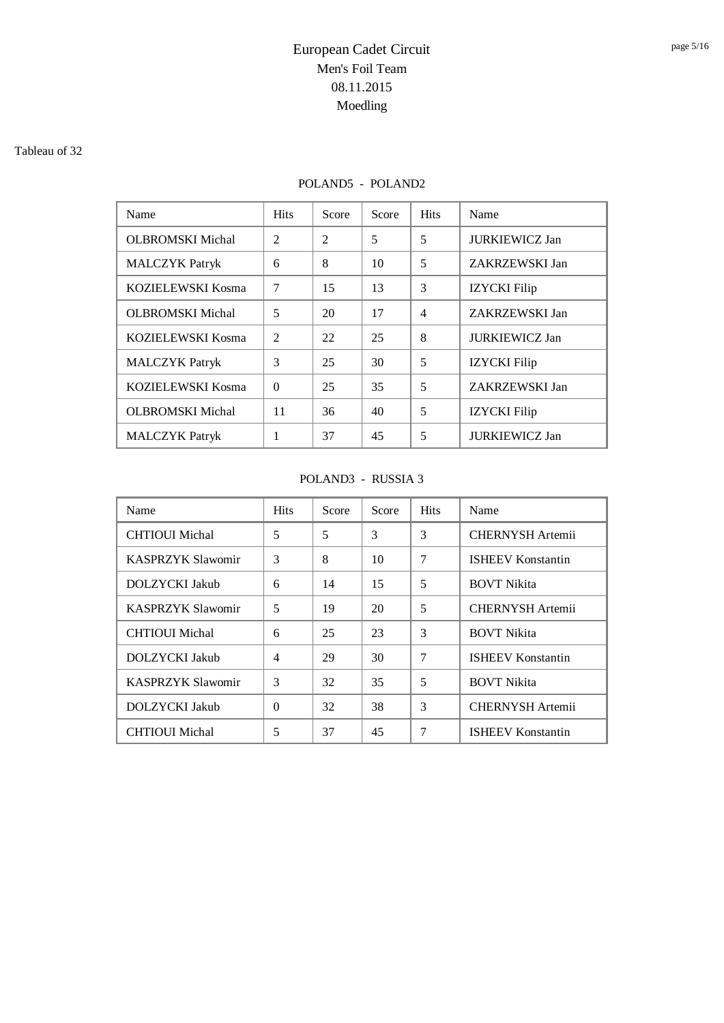#### Tableau of 32

## POLAND5 - POLAND2

| Name                    | <b>Hits</b>    | Score          | Score | <b>Hits</b>    | Name                  |
|-------------------------|----------------|----------------|-------|----------------|-----------------------|
| <b>OLBROMSKI Michal</b> | $\mathfrak{D}$ | $\mathfrak{D}$ | 5     | 5              | <b>JURKIEWICZ Jan</b> |
| <b>MALCZYK Patryk</b>   | 6              | 8              | 10    | 5              | ZAKRZEWSKI Jan        |
| KOZIELEWSKI Kosma       | 7              | 15             | 13    | 3              | <b>IZYCKI</b> Filip   |
| <b>OLBROMSKI Michal</b> | 5              | 20             | 17    | $\overline{4}$ | ZAKRZEWSKI Jan        |
| KOZIELEWSKI Kosma       | $\mathfrak{D}$ | 22             | 25    | 8              | <b>JURKIEWICZ Jan</b> |
| <b>MALCZYK Patryk</b>   | 3              | 25             | 30    | .5             | <b>IZYCKI</b> Filip   |
| KOZIELEWSKI Kosma       | $\Omega$       | 25             | 35    | 5              | ZAKRZEWSKI Jan        |
| <b>OLBROMSKI Michal</b> | 11             | 36             | 40    | 5              | <b>IZYCKI</b> Filip   |
| <b>MALCZYK</b> Patryk   | 1              | 37             | 45    | 5              | <b>JURKIEWICZ Jan</b> |

### POLAND3 - RUSSIA 3

| Name                     | <b>Hits</b>    | Score | Score | <b>Hits</b> | Name                     |
|--------------------------|----------------|-------|-------|-------------|--------------------------|
| <b>CHTIOUI</b> Michal    | 5              | 5     | 3     | 3           | <b>CHERNYSH</b> Artemii  |
| <b>KASPRZYK Slawomir</b> | 3              | 8     | 10    | 7           | <b>ISHEEV Konstantin</b> |
| DOLZYCKI Jakub           | 6              | 14    | 15    | 5           | <b>BOVT</b> Nikita       |
| <b>KASPRZYK Slawomir</b> | 5              | 19    | 20    | 5           | <b>CHERNYSH Artemii</b>  |
| <b>CHTIOUI Michal</b>    | 6              | 25    | 23    | 3           | <b>BOVT Nikita</b>       |
| DOLZYCKI Jakub           | $\overline{4}$ | 29    | 30    | 7           | <b>ISHEEV Konstantin</b> |
| <b>KASPRZYK Slawomir</b> | 3              | 32    | 35    | 5           | <b>BOVT Nikita</b>       |
| DOLZYCKI Jakub           | $\Omega$       | 32    | 38    | 3           | <b>CHERNYSH Artemii</b>  |
| CHTIOUI Michal           | 5              | 37    | 45    | 7           | <b>ISHEEV Konstantin</b> |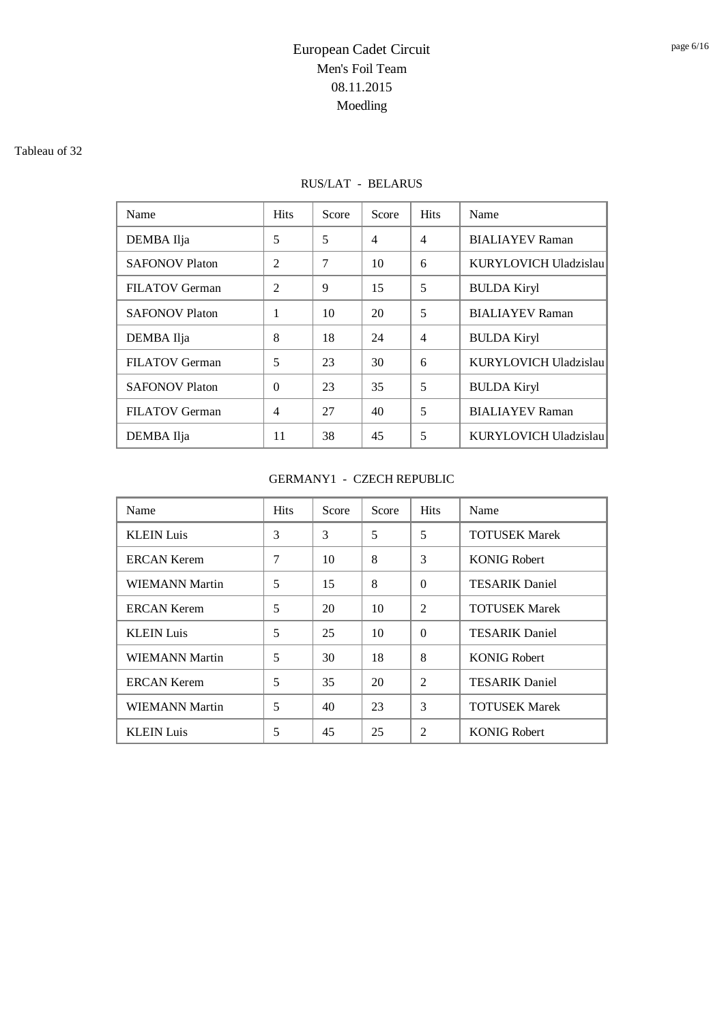#### Tableau of 32

## RUS/LAT - BELARUS

| Name                  | <b>Hits</b>    | Score | Score          | <b>Hits</b>    | Name                   |
|-----------------------|----------------|-------|----------------|----------------|------------------------|
| DEMBA Ilja            | 5              | 5     | $\overline{4}$ | $\overline{4}$ | <b>BIALIAYEV Raman</b> |
| <b>SAFONOV Platon</b> | $\overline{2}$ | 7     | 10             | 6              | KURYLOVICH Uladzislau  |
| <b>FILATOV</b> German | $\overline{2}$ | 9     | 15             | 5              | <b>BULDA Kiryl</b>     |
| <b>SAFONOV Platon</b> | 1              | 10    | 20             | 5              | <b>BIALIAYEV Raman</b> |
| DEMBA Ilja            | 8              | 18    | 24             | $\overline{4}$ | <b>BULDA Kiryl</b>     |
| <b>FILATOV</b> German | 5              | 23    | 30             | 6              | KURYLOVICH Uladzislau  |
| <b>SAFONOV Platon</b> | $\Omega$       | 23    | 35             | 5              | <b>BULDA Kiryl</b>     |
| <b>FILATOV</b> German | 4              | 27    | 40             | 5              | <b>BIALIAYEV Raman</b> |
| DEMBA Ilja            | 11             | 38    | 45             | 5              | KURYLOVICH Uladzislau  |

### GERMANY1 - CZECH REPUBLIC

| Name                  | <b>Hits</b> | Score | Score | <b>Hits</b>    | Name                  |
|-----------------------|-------------|-------|-------|----------------|-----------------------|
| <b>KLEIN Luis</b>     | 3           | 3     | 5     | 5              | <b>TOTUSEK Marek</b>  |
| <b>ERCAN Kerem</b>    | 7           | 10    | 8     | 3              | <b>KONIG Robert</b>   |
| WIEMANN Martin        | 5           | 15    | 8     | $\Omega$       | <b>TESARIK Daniel</b> |
| <b>ERCAN Kerem</b>    | 5           | 20    | 10    | $\mathfrak{D}$ | <b>TOTUSEK Marek</b>  |
| <b>KLEIN Luis</b>     | 5           | 25    | 10    | $\Omega$       | <b>TESARIK Daniel</b> |
| WIEMANN Martin        | 5           | 30    | 18    | 8              | <b>KONIG Robert</b>   |
| <b>ERCAN Kerem</b>    | 5           | 35    | 20    | 2              | <b>TESARIK Daniel</b> |
| <b>WIEMANN Martin</b> | 5           | 40    | 23    | 3              | <b>TOTUSEK Marek</b>  |
| <b>KLEIN Luis</b>     | 5           | 45    | 25    | $\overline{c}$ | <b>KONIG Robert</b>   |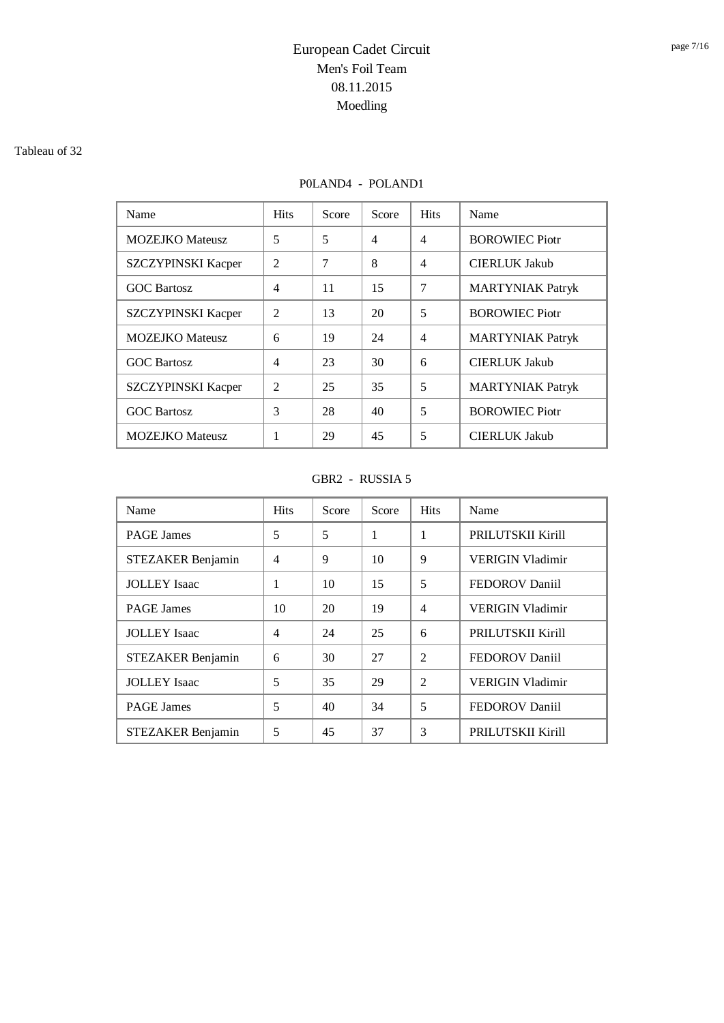#### Tableau of 32

### P0LAND4 - POLAND1

| Name                      | <b>Hits</b>    | Score | Score          | <b>Hits</b>    | Name                    |
|---------------------------|----------------|-------|----------------|----------------|-------------------------|
| <b>MOZEJKO</b> Mateusz    | 5              | 5     | $\overline{4}$ | $\overline{4}$ | <b>BOROWIEC Piotr</b>   |
| SZCZYPINSKI Kacper        | $\mathfrak{D}$ | 7     | 8              | $\overline{4}$ | <b>CIERLUK Jakub</b>    |
| <b>GOC Bartosz</b>        | $\overline{4}$ | 11    | 15             | 7              | <b>MARTYNIAK Patryk</b> |
| SZCZYPINSKI Kacper        | $\mathfrak{D}$ | 13    | 20             | 5              | <b>BOROWIEC Piotr</b>   |
| <b>MOZEJKO</b> Mateusz    | 6              | 19    | 24             | $\overline{4}$ | <b>MARTYNIAK Patryk</b> |
| <b>GOC Bartosz</b>        | $\overline{4}$ | 23    | 30             | 6              | <b>CIERLUK Jakub</b>    |
| <b>SZCZYPINSKI Kacper</b> | $\mathfrak{D}$ | 25    | 35             | 5              | <b>MARTYNIAK Patryk</b> |
| <b>GOC Bartosz</b>        | 3              | 28    | 40             | 5              | <b>BOROWIEC Piotr</b>   |
| <b>MOZEJKO</b> Mateusz    | 1              | 29    | 45             | 5              | <b>CIERLUK Jakub</b>    |

#### GBR2 - RUSSIA 5

| Name                | <b>Hits</b>    | Score | Score | <b>Hits</b>    | Name                    |
|---------------------|----------------|-------|-------|----------------|-------------------------|
| <b>PAGE James</b>   | 5              | 5     | 1     | 1              | PRILUTSKII Kirill       |
| STEZAKER Benjamin   | $\overline{4}$ | 9     | 10    | 9              | <b>VERIGIN Vladimir</b> |
| <b>JOLLEY</b> Isaac | 1              | 10    | 15    | 5              | <b>FEDOROV Daniil</b>   |
| <b>PAGE James</b>   | 10             | 20    | 19    | 4              | <b>VERIGIN Vladimir</b> |
| <b>JOLLEY</b> Isaac | 4              | 24    | 25    | 6              | PRILUTSKII Kirill       |
| STEZAKER Benjamin   | 6              | 30    | 27    | $\overline{2}$ | FEDOROV Daniil          |
| <b>JOLLEY</b> Isaac | 5              | 35    | 29    | $\mathfrak{D}$ | <b>VERIGIN Vladimir</b> |
| <b>PAGE James</b>   | 5              | 40    | 34    | 5              | FEDOROV Daniil          |
| STEZAKER Benjamin   | 5              | 45    | 37    | 3              | PRILUTSKII Kirill       |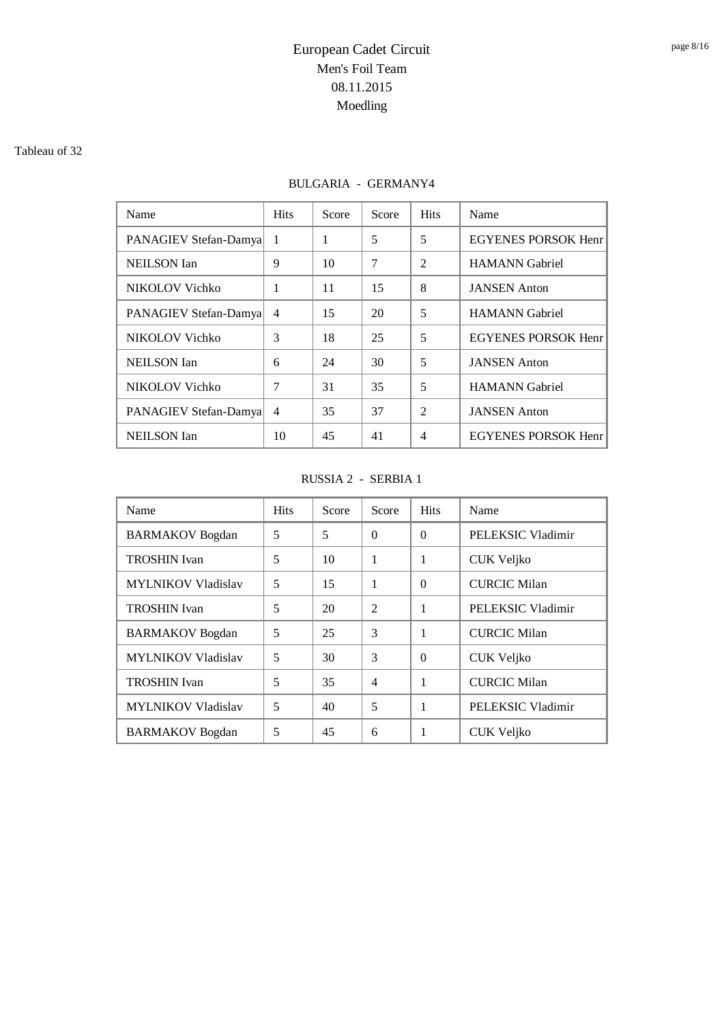#### Tableau of 32

## BULGARIA - GERMANY4

| Name                  | <b>Hits</b>    | Score | Score | <b>Hits</b>    | Name                       |
|-----------------------|----------------|-------|-------|----------------|----------------------------|
| PANAGIEV Stefan-Damya | 1              | 1     | 5     | 5              | <b>EGYENES PORSOK Henr</b> |
| <b>NEILSON</b> Ian    | 9              | 10    | 7     | $\mathfrak{D}$ | <b>HAMANN</b> Gabriel      |
| NIKOLOV Vichko        | 1              | 11    | 15    | 8              | <b>JANSEN</b> Anton        |
| PANAGIEV Stefan-Damya | $\overline{4}$ | 15    | 20    | 5              | <b>HAMANN</b> Gabriel      |
| NIKOLOV Vichko        | 3              | 18    | 25    | 5              | <b>EGYENES PORSOK Henr</b> |
| <b>NEILSON</b> Ian    | 6              | 24    | 30    | 5              | <b>JANSEN</b> Anton        |
| NIKOLOV Vichko        | 7              | 31    | 35    | 5              | <b>HAMANN</b> Gabriel      |
| PANAGIEV Stefan-Damya | $\overline{4}$ | 35    | 37    | $\overline{2}$ | <b>JANSEN</b> Anton        |
| <b>NEILSON</b> Ian    | 10             | 45    | 41    | $\overline{4}$ | <b>EGYENES PORSOK Henr</b> |

### RUSSIA 2 - SERBIA 1

| Name                      | <b>Hits</b> | Score | Score          | <b>Hits</b> | Name                |
|---------------------------|-------------|-------|----------------|-------------|---------------------|
| <b>BARMAKOV</b> Bogdan    | 5           | 5     | $\theta$       | $\Omega$    | PELEKSIC Vladimir   |
| <b>TROSHIN</b> Ivan       | 5           | 10    | 1              | 1           | CUK Veljko          |
| <b>MYLNIKOV Vladislav</b> | 5           | 15    | 1              | $\Omega$    | <b>CURCIC Milan</b> |
| <b>TROSHIN</b> Ivan       | 5           | 20    | $\overline{2}$ | 1           | PELEKSIC Vladimir   |
| <b>BARMAKOV</b> Bogdan    | 5           | 25    | 3              | 1           | <b>CURCIC Milan</b> |
| <b>MYLNIKOV Vladislav</b> | 5           | 30    | 3              | $\Omega$    | CUK Veljko          |
| <b>TROSHIN</b> Ivan       | 5           | 35    | $\overline{4}$ | 1           | <b>CURCIC Milan</b> |
| <b>MYLNIKOV Vladislav</b> | 5           | 40    | 5              | 1           | PELEKSIC Vladimir   |
| <b>BARMAKOV</b> Bogdan    | 5           | 45    | 6              | 1           | CUK Veljko          |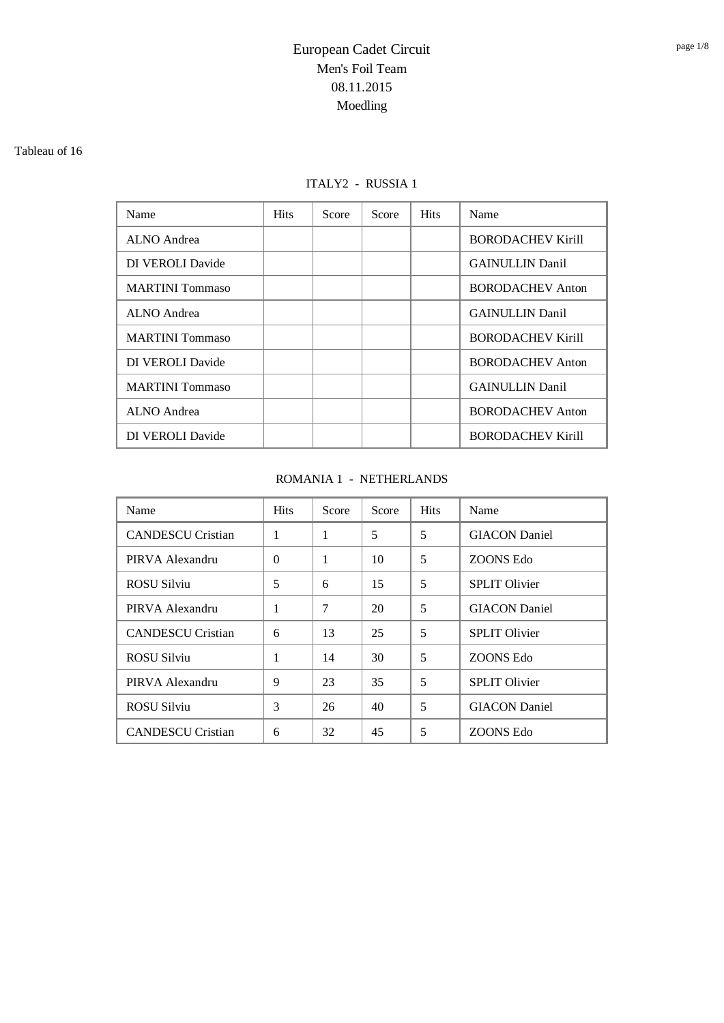#### Tableau of 16

### ITALY2 - RUSSIA 1

| Name                   | <b>Hits</b> | Score | Score | <b>Hits</b> | Name                     |
|------------------------|-------------|-------|-------|-------------|--------------------------|
| ALNO Andrea            |             |       |       |             | <b>BORODACHEV Kirill</b> |
| DI VEROLI Davide       |             |       |       |             | <b>GAINULLIN Danil</b>   |
| <b>MARTINI</b> Tommaso |             |       |       |             | <b>BORODACHEV Anton</b>  |
| <b>ALNO</b> Andrea     |             |       |       |             | <b>GAINULLIN Danil</b>   |
| <b>MARTINI</b> Tommaso |             |       |       |             | <b>BORODACHEV Kirill</b> |
| DI VEROLI Davide       |             |       |       |             | <b>BORODACHEV Anton</b>  |
| <b>MARTINI</b> Tommaso |             |       |       |             | <b>GAINULLIN Danil</b>   |
| ALNO Andrea            |             |       |       |             | <b>BORODACHEV Anton</b>  |
| DI VEROLI Davide       |             |       |       |             | <b>BORODACHEV Kirill</b> |

### ROMANIA 1 - NETHERLANDS

| Name                     | <b>Hits</b> | Score | Score | <b>Hits</b> | Name                 |
|--------------------------|-------------|-------|-------|-------------|----------------------|
| <b>CANDESCU Cristian</b> | 1           | 1     | 5     | 5           | <b>GIACON</b> Daniel |
| PIRVA Alexandru          | $\Omega$    | 1     | 10    | 5           | ZOONS Edo            |
| <b>ROSU Silviu</b>       | 5           | 6     | 15    | 5           | <b>SPLIT Olivier</b> |
| PIRVA Alexandru          | 1           | 7     | 20    | 5           | <b>GIACON</b> Daniel |
| <b>CANDESCU Cristian</b> | 6           | 13    | 25    | 5           | <b>SPLIT Olivier</b> |
| <b>ROSU Silviu</b>       | 1           | 14    | 30    | 5           | ZOONS Edo            |
| PIRVA Alexandru          | 9           | 23    | 35    | 5           | <b>SPLIT Olivier</b> |
| <b>ROSU Silviu</b>       | 3           | 26    | 40    | 5           | <b>GIACON</b> Daniel |
| <b>CANDESCU Cristian</b> | 6           | 32    | 45    | 5           | ZOONS Edo            |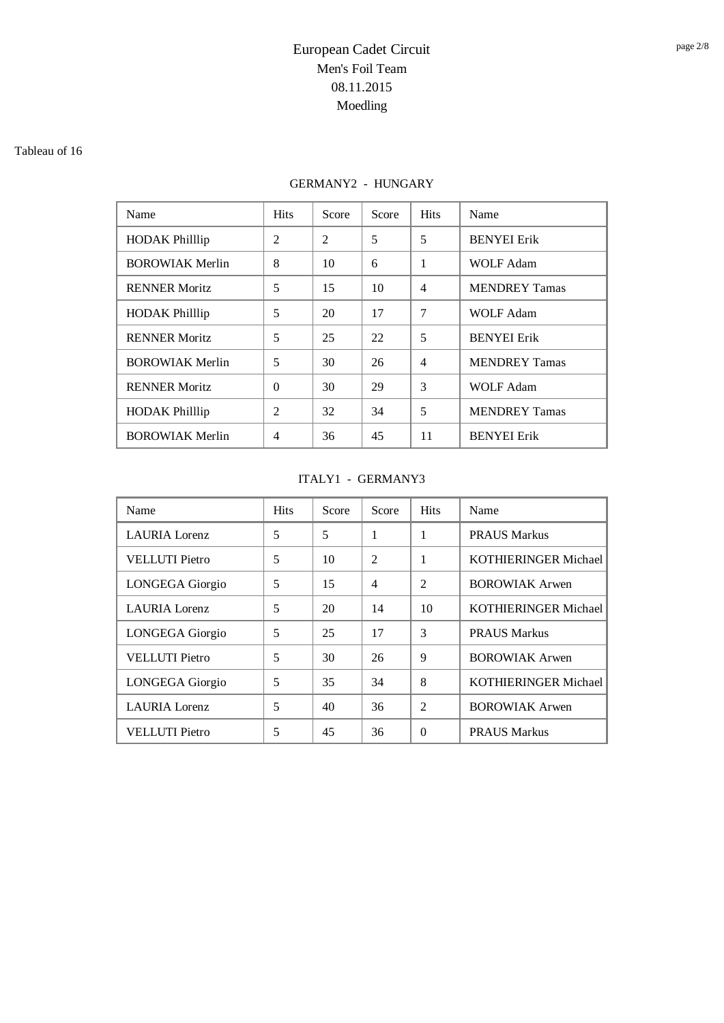#### Tableau of 16

## GERMANY2 - HUNGARY

| Name                   | <b>Hits</b>    | Score          | Score | <b>Hits</b>    | Name                 |
|------------------------|----------------|----------------|-------|----------------|----------------------|
| <b>HODAK Philllip</b>  | $\overline{2}$ | $\overline{2}$ | 5     | 5              | <b>BENYEI</b> Erik   |
| <b>BOROWIAK Merlin</b> | 8              | 10             | 6     | 1              | <b>WOLF Adam</b>     |
| <b>RENNER Moritz</b>   | 5              | 15             | 10    | $\overline{4}$ | <b>MENDREY Tamas</b> |
| <b>HODAK Phillip</b>   | 5              | 20             | 17    | 7              | <b>WOLF Adam</b>     |
| <b>RENNER Moritz</b>   | 5              | 25             | 22    | 5              | <b>BENYEI</b> Erik   |
| <b>BOROWIAK Merlin</b> | 5              | 30             | 26    | $\overline{4}$ | <b>MENDREY Tamas</b> |
| <b>RENNER Moritz</b>   | $\Omega$       | 30             | 29    | 3              | <b>WOLF Adam</b>     |
| <b>HODAK Philllip</b>  | $\mathfrak{D}$ | 32             | 34    | 5              | <b>MENDREY Tamas</b> |
| <b>BOROWIAK Merlin</b> | 4              | 36             | 45    | 11             | <b>BENYEI</b> Erik   |

### ITALY1 - GERMANY3

| Name                   | <b>Hits</b> | Score | Score          | <b>Hits</b>    | Name                        |
|------------------------|-------------|-------|----------------|----------------|-----------------------------|
| <b>LAURIA</b> Lorenz   | 5           | 5     | 1              | 1              | <b>PRAUS Markus</b>         |
| <b>VELLUTI</b> Pietro  | 5           | 10    | $\overline{2}$ | 1              | <b>KOTHIERINGER Michael</b> |
| <b>LONGEGA</b> Giorgio | 5           | 15    | 4              | $\mathfrak{D}$ | <b>BOROWIAK Arwen</b>       |
| <b>LAURIA</b> Lorenz   | 5           | 20    | 14             | 10             | KOTHIERINGER Michael        |
| <b>LONGEGA</b> Giorgio | 5           | 25    | 17             | 3              | <b>PRAUS Markus</b>         |
| <b>VELLUTI</b> Pietro  | 5           | 30    | 26             | 9              | <b>BOROWIAK Arwen</b>       |
| LONGEGA Giorgio        | 5           | 35    | 34             | 8              | <b>KOTHIERINGER Michael</b> |
| <b>LAURIA</b> Lorenz   | 5           | 40    | 36             | $\overline{2}$ | <b>BOROWIAK Arwen</b>       |
| <b>VELLUTI</b> Pietro  | 5           | 45    | 36             | $\Omega$       | <b>PRAUS Markus</b>         |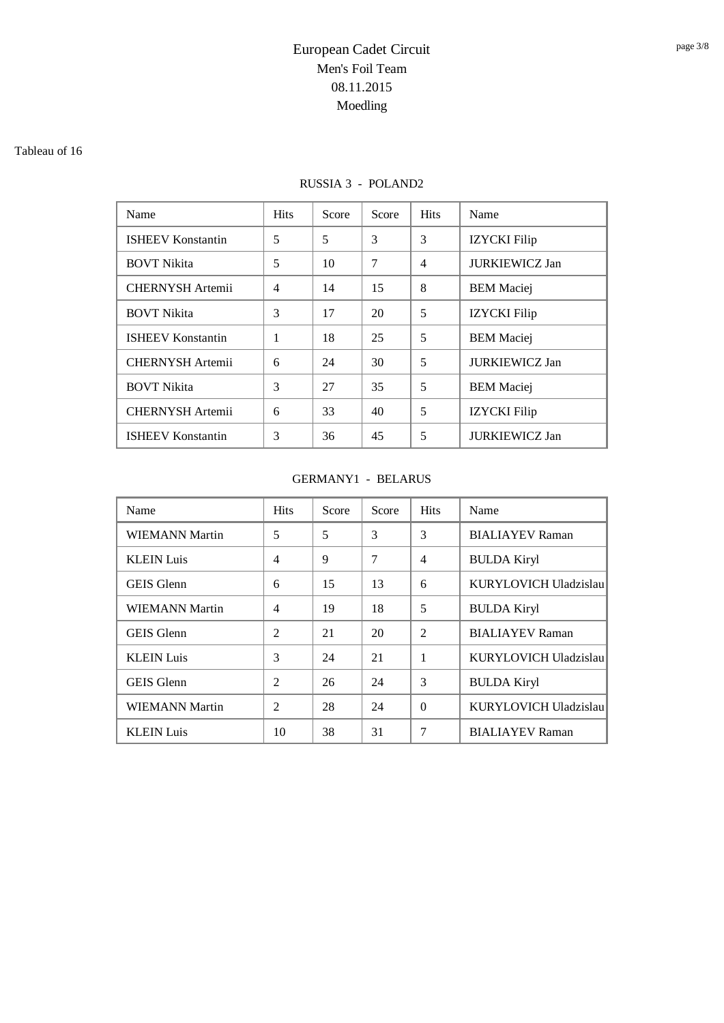#### Tableau of 16

### RUSSIA 3 - POLAND2

| Name                     | <b>Hits</b>    | Score | Score | <b>Hits</b>    | Name                  |
|--------------------------|----------------|-------|-------|----------------|-----------------------|
| <b>ISHEEV Konstantin</b> | 5              | 5     | 3     | 3              | <b>IZYCKI</b> Filip   |
| <b>BOVT Nikita</b>       | 5              | 10    | 7     | $\overline{4}$ | <b>JURKIEWICZ Jan</b> |
| <b>CHERNYSH</b> Artemii  | $\overline{4}$ | 14    | 15    | 8              | <b>BEM</b> Maciej     |
| <b>BOVT Nikita</b>       | 3              | 17    | 20    | 5              | <b>IZYCKI</b> Filip   |
| <b>ISHEEV Konstantin</b> | 1              | 18    | 25    | 5              | <b>BEM</b> Maciej     |
| <b>CHERNYSH Artemii</b>  | 6              | 24    | 30    | 5              | <b>JURKIEWICZ Jan</b> |
| <b>BOVT Nikita</b>       | 3              | 27    | 35    | 5              | <b>BEM</b> Maciej     |
| <b>CHERNYSH</b> Artemii  | 6              | 33    | 40    | 5              | <b>IZYCKI</b> Filip   |
| <b>ISHEEV Konstantin</b> | 3              | 36    | 45    | 5              | <b>JURKIEWICZ Jan</b> |

### GERMANY1 - BELARUS

| Name                  | <b>Hits</b>    | Score | Score | <b>Hits</b>    | Name                   |
|-----------------------|----------------|-------|-------|----------------|------------------------|
| <b>WIEMANN Martin</b> | 5              | 5     | 3     | 3              | <b>BIALIAYEV Raman</b> |
| <b>KLEIN Luis</b>     | $\overline{4}$ | 9     | 7     | $\overline{4}$ | <b>BULDA Kiryl</b>     |
| <b>GEIS</b> Glenn     | 6              | 15    | 13    | 6              | KURYLOVICH Uladzislau  |
| WIEMANN Martin        | $\overline{4}$ | 19    | 18    | 5              | <b>BULDA Kiryl</b>     |
| <b>GEIS</b> Glenn     | 2              | 21    | 20    | $\overline{2}$ | <b>BIALIAYEV Raman</b> |
| <b>KLEIN</b> Luis     | 3              | 24    | 21    | 1              | KURYLOVICH Uladzislau  |
| <b>GEIS</b> Glenn     | 2              | 26    | 24    | 3              | <b>BULDA Kiryl</b>     |
| <b>WIEMANN Martin</b> | $\overline{2}$ | 28    | 24    | $\Omega$       | KURYLOVICH Uladzislau  |
| <b>KLEIN Luis</b>     | 10             | 38    | 31    | 7              | <b>BIALIAYEV Raman</b> |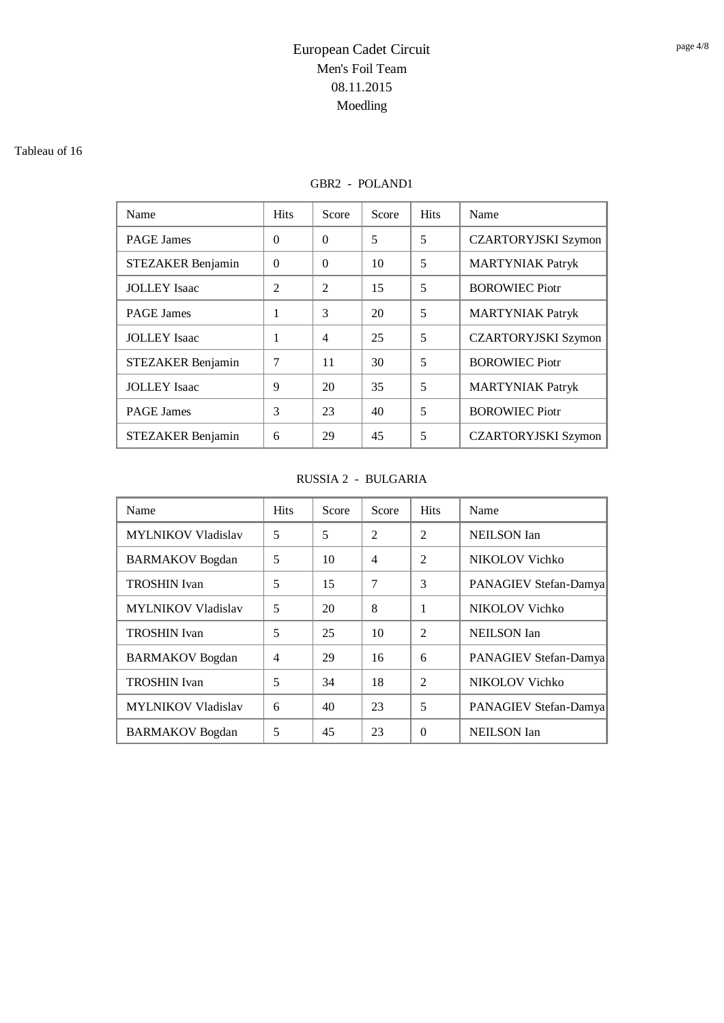#### Tableau of 16

## GBR2 - POLAND1

| Name                     | <b>Hits</b>    | Score          | Score | <b>Hits</b> | Name                       |
|--------------------------|----------------|----------------|-------|-------------|----------------------------|
| <b>PAGE James</b>        | $\Omega$       | $\Omega$       | 5     | 5           | <b>CZARTORYJSKI Szymon</b> |
| STEZAKER Benjamin        | $\Omega$       | $\Omega$       | 10    | 5           | <b>MARTYNIAK Patryk</b>    |
| <b>JOLLEY</b> Isaac      | $\overline{2}$ | $\overline{2}$ | 15    | 5           | <b>BOROWIEC Piotr</b>      |
| <b>PAGE James</b>        | 1              | 3              | 20    | 5           | <b>MARTYNIAK Patryk</b>    |
| <b>JOLLEY</b> Isaac      | 1              | $\overline{4}$ | 25    | 5           | <b>CZARTORYJSKI Szymon</b> |
| STEZAKER Benjamin        | 7              | 11             | 30    | 5           | <b>BOROWIEC Piotr</b>      |
| <b>JOLLEY</b> Isaac      | 9              | 20             | 35    | 5           | <b>MARTYNIAK Patryk</b>    |
| <b>PAGE James</b>        | 3              | 23             | 40    | 5           | <b>BOROWIEC Piotr</b>      |
| <b>STEZAKER Benjamin</b> | 6              | 29             | 45    | 5           | <b>CZARTORYJSKI Szymon</b> |

### RUSSIA 2 - BULGARIA

| Name                      | <b>Hits</b>    | Score | Score                    | <b>Hits</b>    | Name                  |
|---------------------------|----------------|-------|--------------------------|----------------|-----------------------|
| <b>MYLNIKOV Vladislav</b> | 5              | 5     | $\overline{\mathcal{L}}$ | $\mathfrak{D}$ | <b>NEILSON</b> Ian    |
| <b>BARMAKOV</b> Bogdan    | 5              | 10    | $\overline{4}$           | $\mathfrak{D}$ | NIKOLOV Vichko        |
| <b>TROSHIN</b> Ivan       | 5              | 15    | 7                        | 3              | PANAGIEV Stefan-Damya |
| <b>MYLNIKOV Vladislav</b> | 5              | 20    | 8                        | 1              | NIKOLOV Vichko        |
| <b>TROSHIN</b> Ivan       | 5              | 25    | 10                       | $\mathfrak{D}$ | <b>NEILSON</b> Ian    |
| <b>BARMAKOV</b> Bogdan    | $\overline{4}$ | 29    | 16                       | 6              | PANAGIEV Stefan-Damya |
| <b>TROSHIN</b> Ivan       | 5              | 34    | 18                       | $\mathfrak{D}$ | NIKOLOV Vichko        |
| <b>MYLNIKOV Vladislav</b> | 6              | 40    | 23                       | 5              | PANAGIEV Stefan-Damya |
| <b>BARMAKOV</b> Bogdan    | 5              | 45    | 23                       | $\Omega$       | <b>NEILSON</b> Ian    |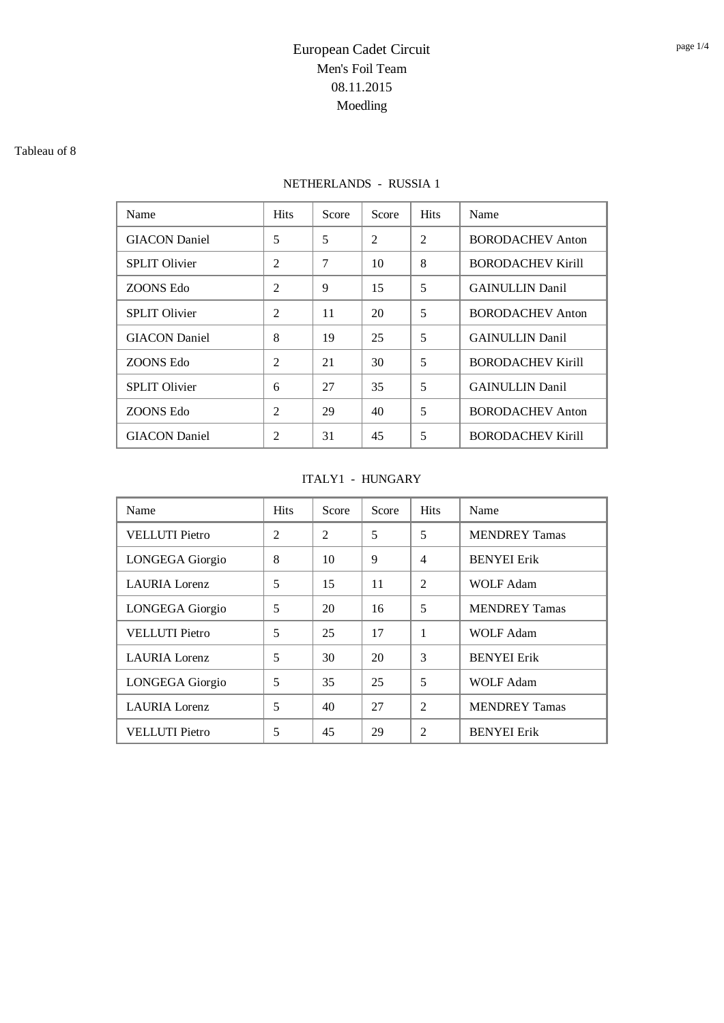#### Tableau of 8

## NETHERLANDS - RUSSIA 1

| Name                 | <b>Hits</b>    | Score | Score          | <b>Hits</b>    | Name                     |
|----------------------|----------------|-------|----------------|----------------|--------------------------|
| <b>GIACON</b> Daniel | 5              | 5     | $\mathfrak{D}$ | $\mathfrak{D}$ | <b>BORODACHEV Anton</b>  |
| <b>SPLIT Olivier</b> | $\overline{2}$ | 7     | 10             | 8              | <b>BORODACHEV Kirill</b> |
| ZOONS Edo            | $\overline{2}$ | 9     | 15             | 5              | <b>GAINULLIN</b> Danil   |
| <b>SPLIT Olivier</b> | $\overline{2}$ | 11    | 20             | 5              | <b>BORODACHEV Anton</b>  |
| <b>GIACON</b> Daniel | 8              | 19    | 25             | 5              | <b>GAINULLIN</b> Danil   |
| ZOONS Edo            | $\mathfrak{D}$ | 21    | 30             | 5              | <b>BORODACHEV Kirill</b> |
| <b>SPLIT Olivier</b> | 6              | 27    | 35             | 5              | <b>GAINULLIN</b> Danil   |
| ZOONS Edo            | $\overline{2}$ | 29    | 40             | 5              | <b>BORODACHEV Anton</b>  |
| <b>GIACON</b> Daniel | $\overline{c}$ | 31    | 45             | 5              | <b>BORODACHEV Kirill</b> |

### ITALY1 - HUNGARY

| Name                   | <b>Hits</b>    | Score          | Score | <b>Hits</b>              | Name                 |
|------------------------|----------------|----------------|-------|--------------------------|----------------------|
| <b>VELLUTI Pietro</b>  | $\overline{2}$ | $\overline{2}$ | 5     | 5                        | <b>MENDREY Tamas</b> |
| <b>LONGEGA</b> Giorgio | 8              | 10             | 9     | $\overline{4}$           | <b>BENYEI</b> Erik   |
| LAURIA Lorenz          | 5              | 15             | 11    | $\overline{2}$           | <b>WOLF Adam</b>     |
| <b>LONGEGA</b> Giorgio | 5              | 20             | 16    | 5                        | <b>MENDREY Tamas</b> |
| <b>VELLUTI</b> Pietro  | 5              | 25             | 17    | 1                        | <b>WOLF Adam</b>     |
| <b>LAURIA</b> Lorenz   | 5              | 30             | 20    | 3                        | <b>BENYEI Erik</b>   |
| LONGEGA Giorgio        | 5              | 35             | 25    | 5                        | <b>WOLF Adam</b>     |
| <b>LAURIA</b> Lorenz   | 5              | 40             | 27    | $\mathfrak{D}$           | <b>MENDREY Tamas</b> |
| <b>VELLUTI</b> Pietro  | 5              | 45             | 29    | $\overline{\mathcal{L}}$ | <b>BENYEI</b> Erik   |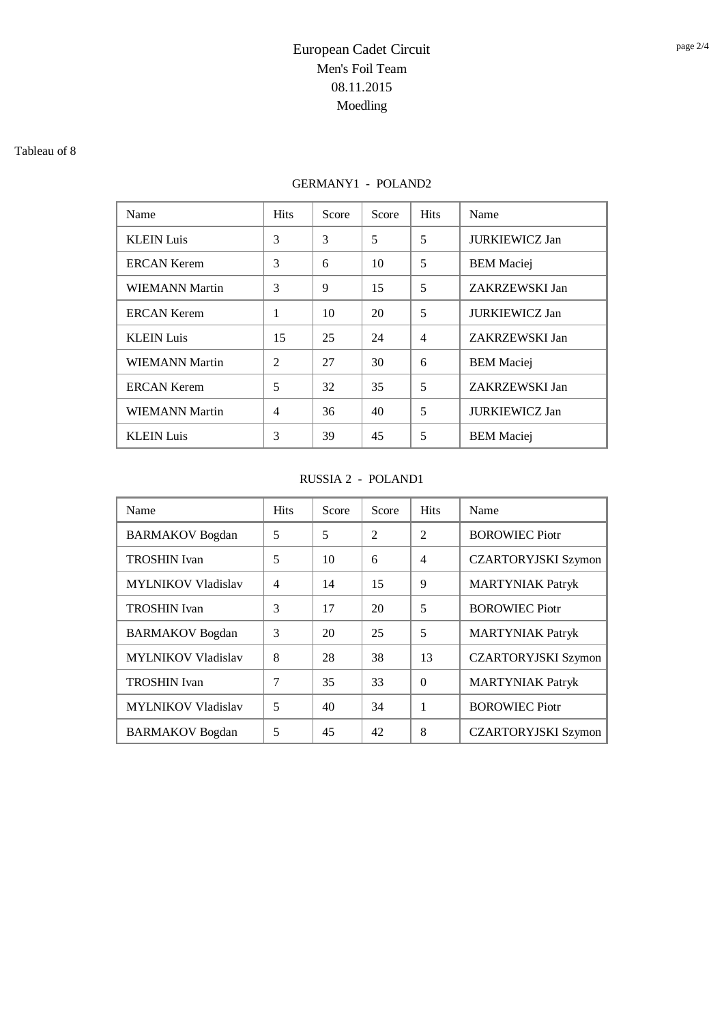#### Tableau of 8

## GERMANY1 - POLAND2

| Name                  | <b>Hits</b>    | Score | Score | <b>Hits</b>    | Name                  |
|-----------------------|----------------|-------|-------|----------------|-----------------------|
| <b>KLEIN Luis</b>     | 3              | 3     | 5     | 5              | <b>JURKIEWICZ Jan</b> |
| <b>ERCAN Kerem</b>    | 3              | 6     | 10    | 5              | <b>BEM</b> Maciej     |
| <b>WIEMANN Martin</b> | 3              | 9     | 15    | 5              | ZAKRZEWSKI Jan        |
| <b>ERCAN Kerem</b>    | 1              | 10    | 20    | 5              | <b>JURKIEWICZ Jan</b> |
| <b>KLEIN Luis</b>     | 15             | 25    | 24    | $\overline{4}$ | ZAKRZEWSKI Jan        |
| <b>WIEMANN Martin</b> | $\mathfrak{D}$ | 27    | 30    | 6              | <b>BEM</b> Maciej     |
| <b>ERCAN Kerem</b>    | 5              | 32    | 35    | 5              | ZAKRZEWSKI Jan        |
| <b>WIEMANN Martin</b> | $\overline{4}$ | 36    | 40    | 5              | <b>JURKIEWICZ Jan</b> |
| <b>KLEIN Luis</b>     | 3              | 39    | 45    | 5              | <b>BEM</b> Maciei     |

### RUSSIA 2 - POLAND1

| Name                      | <b>Hits</b>    | Score | Score          | <b>Hits</b>    | Name                       |
|---------------------------|----------------|-------|----------------|----------------|----------------------------|
| <b>BARMAKOV</b> Bogdan    | 5              | 5     | $\mathfrak{D}$ | $\mathfrak{D}$ | <b>BOROWIEC Piotr</b>      |
| <b>TROSHIN</b> Ivan       | 5              | 10    | 6              | $\overline{4}$ | <b>CZARTORYJSKI Szymon</b> |
| <b>MYLNIKOV Vladislav</b> | $\overline{4}$ | 14    | 15             | 9              | <b>MARTYNIAK Patryk</b>    |
| <b>TROSHIN</b> Ivan       | 3              | 17    | 20             | 5              | <b>BOROWIEC Piotr</b>      |
| <b>BARMAKOV</b> Bogdan    | 3              | 20    | 25             | 5              | <b>MARTYNIAK Patryk</b>    |
| <b>MYLNIKOV Vladislav</b> | 8              | 28    | 38             | 13             | <b>CZARTORYJSKI Szymon</b> |
| <b>TROSHIN</b> Ivan       | 7              | 35    | 33             | $\Omega$       | <b>MARTYNIAK Patryk</b>    |
| <b>MYLNIKOV Vladislav</b> | 5              | 40    | 34             | 1              | <b>BOROWIEC Piotr</b>      |
| <b>BARMAKOV</b> Bogdan    | 5              | 45    | 42             | 8              | <b>CZARTORYJSKI Szymon</b> |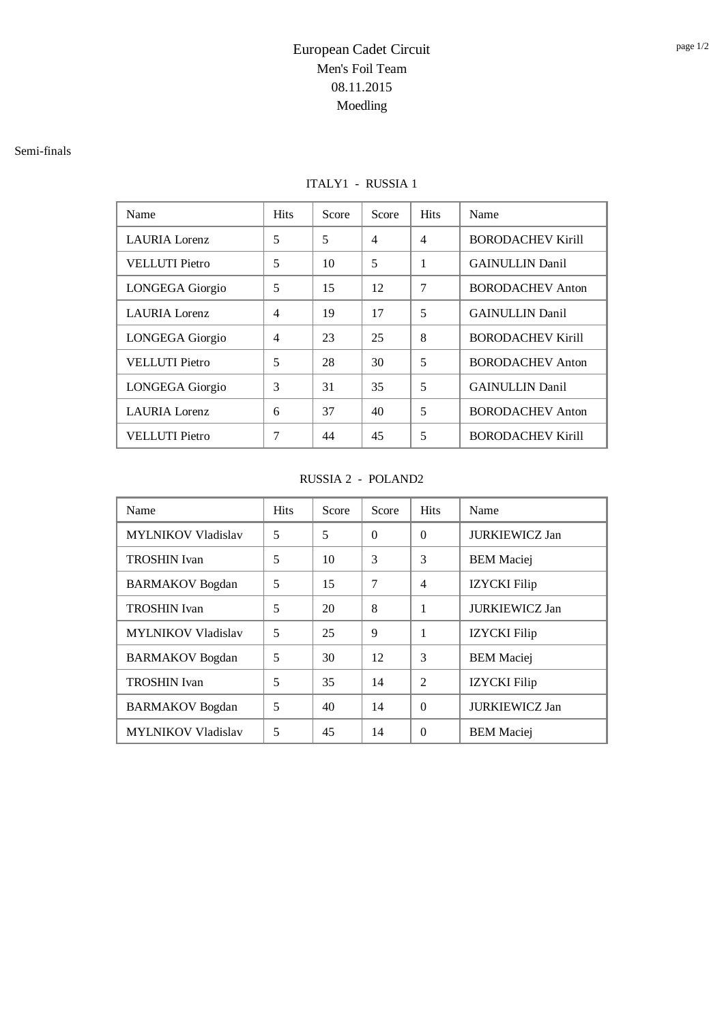#### Semi-finals

### ITALY1 - RUSSIA 1

| Name                   | <b>Hits</b>    | Score | Score          | <b>Hits</b>    | Name                     |
|------------------------|----------------|-------|----------------|----------------|--------------------------|
| <b>LAURIA</b> Lorenz   | 5              | 5     | $\overline{4}$ | $\overline{4}$ | <b>BORODACHEV Kirill</b> |
| <b>VELLUTI</b> Pietro  | 5              | 10    | 5              | 1              | <b>GAINULLIN Danil</b>   |
| <b>LONGEGA</b> Giorgio | 5              | 15    | 12             | 7              | <b>BORODACHEV Anton</b>  |
| <b>LAURIA</b> Lorenz   | $\overline{4}$ | 19    | 17             | 5              | <b>GAINULLIN Danil</b>   |
| <b>LONGEGA</b> Giorgio | $\overline{4}$ | 23    | 25             | 8              | <b>BORODACHEV Kirill</b> |
| <b>VELLUTI</b> Pietro  | 5              | 28    | 30             | 5              | <b>BORODACHEV Anton</b>  |
| LONGEGA Giorgio        | 3              | 31    | 35             | 5              | <b>GAINULLIN Danil</b>   |
| <b>LAURIA</b> Lorenz   | 6              | 37    | 40             | 5              | <b>BORODACHEV Anton</b>  |
| <b>VELLUTI</b> Pietro  | 7              | 44    | 45             | 5              | <b>BORODACHEV Kirill</b> |

### RUSSIA 2 - POLAND2

| Name                      | <b>Hits</b>              | Score | Score    | <b>Hits</b>    | Name                  |
|---------------------------|--------------------------|-------|----------|----------------|-----------------------|
| <b>MYLNIKOV Vladislav</b> | 5                        | 5     | $\Omega$ | $\Omega$       | <b>JURKIEWICZ Jan</b> |
| <b>TROSHIN</b> Ivan       | 5                        | 10    | 3        | 3              | <b>BEM</b> Maciej     |
| <b>BARMAKOV</b> Bogdan    | 5                        | 15    | 7        | 4              | <b>IZYCKI</b> Filip   |
| <b>TROSHIN</b> Ivan       | 5                        | 20    | 8        | 1              | <b>JURKIEWICZ Jan</b> |
| <b>MYLNIKOV Vladislav</b> | 5                        | 25    | 9        | 1              | <b>IZYCKI</b> Filip   |
| <b>BARMAKOV</b> Bogdan    | $\overline{\mathcal{L}}$ | 30    | 12       | 3              | <b>BEM</b> Maciej     |
| <b>TROSHIN</b> Ivan       | 5                        | 35    | 14       | $\mathfrak{D}$ | <b>IZYCKI</b> Filip   |
| <b>BARMAKOV</b> Bogdan    | 5                        | 40    | 14       | $\Omega$       | <b>JURKIEWICZ Jan</b> |
| <b>MYLNIKOV Vladislav</b> | 5                        | 45    | 14       | $\Omega$       | <b>BEM</b> Maciei     |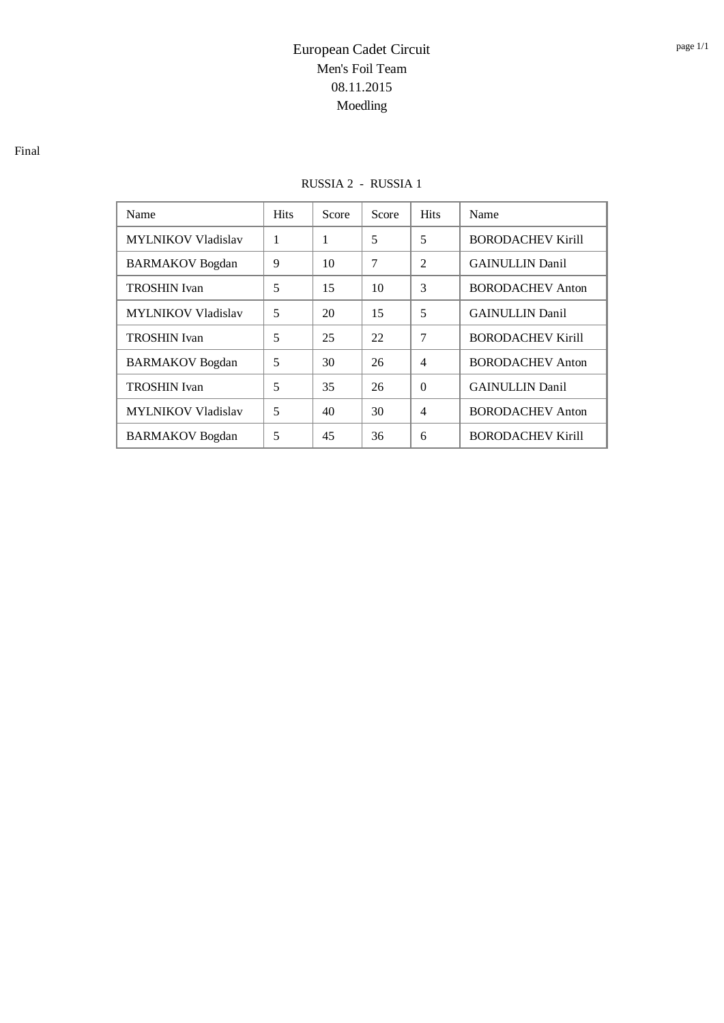### RUSSIA 2 - RUSSIA 1

| Name                      | <b>Hits</b> | Score | Score | <b>Hits</b>              | Name                     |
|---------------------------|-------------|-------|-------|--------------------------|--------------------------|
| <b>MYLNIKOV Vladislav</b> | 1           | 1     | 5     | 5                        | <b>BORODACHEV Kirill</b> |
| <b>BARMAKOV</b> Bogdan    | 9           | 10    | 7     | $\mathfrak{D}$           | <b>GAINULLIN</b> Danil   |
| <b>TROSHIN</b> Ivan       | 5           | 15    | 10    | 3                        | <b>BORODACHEV Anton</b>  |
| <b>MYLNIKOV Vladislav</b> | 5           | 20    | 15    | 5                        | <b>GAINULLIN Danil</b>   |
| <b>TROSHIN</b> Ivan       | 5           | 25    | 22    | 7                        | <b>BORODACHEV Kirill</b> |
| <b>BARMAKOV</b> Bogdan    | 5           | 30    | 26    | $\overline{4}$           | <b>BORODACHEV Anton</b>  |
| <b>TROSHIN</b> Ivan       | 5           | 35    | 26    | $\Omega$                 | <b>GAINULLIN Danil</b>   |
| <b>MYLNIKOV Vladislav</b> | 5           | 40    | 30    | $\overline{\mathcal{L}}$ | <b>BORODACHEV Anton</b>  |
| <b>BARMAKOV</b> Bogdan    | 5           | 45    | 36    | 6                        | <b>BORODACHEV Kirill</b> |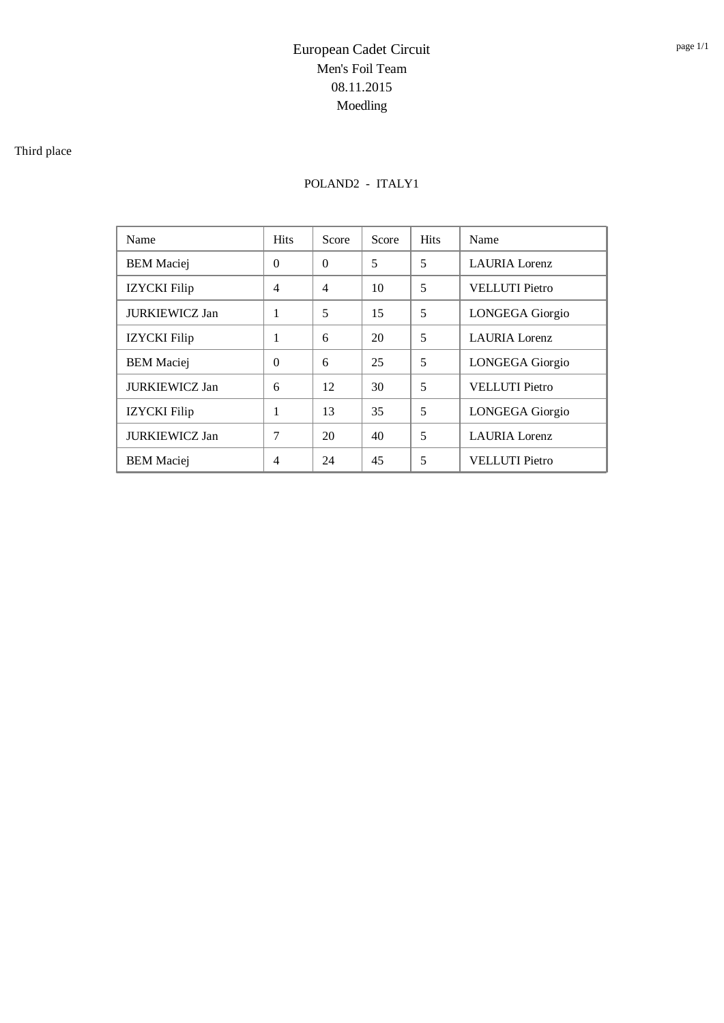### Third place

## POLAND2 - ITALY1

| Name                  | <b>Hits</b>    | Score          | Score | <b>Hits</b> | Name                   |
|-----------------------|----------------|----------------|-------|-------------|------------------------|
| <b>BEM</b> Maciej     | $\Omega$       | $\Omega$       | 5     | 5           | <b>LAURIA</b> Lorenz   |
| <b>IZYCKI</b> Filip   | $\overline{4}$ | $\overline{4}$ | 10    | 5           | <b>VELLUTI</b> Pietro  |
| <b>JURKIEWICZ Jan</b> | 1              | 5              | 15    | 5           | LONGEGA Giorgio        |
| <b>IZYCKI</b> Filip   | 1              | 6              | 20    | 5           | <b>LAURIA</b> Lorenz   |
| <b>BEM</b> Maciej     | $\Omega$       | 6              | 25    | 5           | <b>LONGEGA</b> Giorgio |
| <b>JURKIEWICZ Jan</b> | 6              | 12             | 30    | 5           | <b>VELLUTI</b> Pietro  |
| <b>IZYCKI</b> Filip   | 1              | 13             | 35    | 5           | LONGEGA Giorgio        |
| <b>JURKIEWICZ Jan</b> | 7              | 20             | 40    | 5           | <b>LAURIA</b> Lorenz   |
| <b>BEM Maciei</b>     | $\overline{4}$ | 24             | 45    | 5           | <b>VELLUTI</b> Pietro  |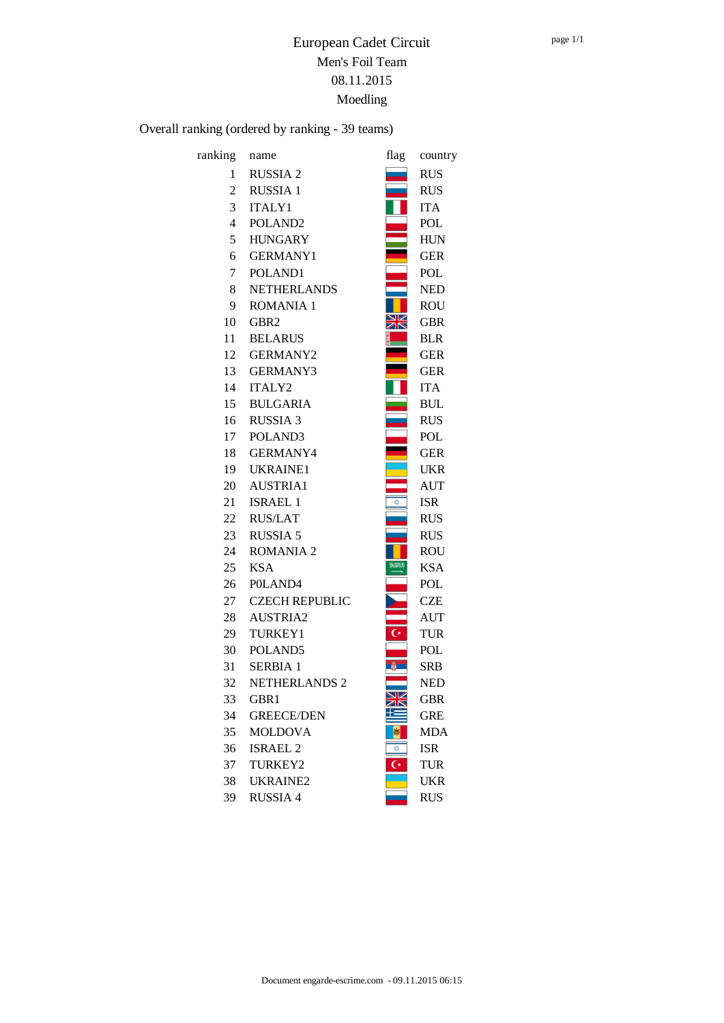Overall ranking (ordered by ranking - 39 teams)

| ranking        | name                  | flag           | country    |
|----------------|-----------------------|----------------|------------|
| 1              | <b>RUSSIA2</b>        |                | <b>RUS</b> |
| 2              | <b>RUSSIA1</b>        |                | <b>RUS</b> |
| 3              | <b>ITALY1</b>         |                | <b>ITA</b> |
| $\overline{4}$ | POLAND <sub>2</sub>   |                | <b>POL</b> |
| 5              | <b>HUNGARY</b>        |                | <b>HUN</b> |
| 6              | <b>GERMANY1</b>       |                | <b>GER</b> |
| 7              | POLAND1               |                | POL        |
| 8              | <b>NETHERLANDS</b>    |                | <b>NED</b> |
| 9              | <b>ROMANIA 1</b>      |                | <b>ROU</b> |
| 10             | GBR <sub>2</sub>      |                | <b>GBR</b> |
| 11             | <b>BELARUS</b>        |                | <b>BLR</b> |
| 12             | <b>GERMANY2</b>       |                | <b>GER</b> |
| 13             | <b>GERMANY3</b>       |                | <b>GER</b> |
| 14             | <b>ITALY2</b>         |                | <b>ITA</b> |
| 15             | <b>BULGARIA</b>       |                | <b>BUL</b> |
| 16             | <b>RUSSIA 3</b>       |                | <b>RUS</b> |
| 17             | POLAND <sub>3</sub>   |                | <b>POL</b> |
| 18             | GERMANY4              |                | <b>GER</b> |
| 19             | <b>UKRAINE1</b>       |                | <b>UKR</b> |
| 20             | <b>AUSTRIA1</b>       |                | <b>AUT</b> |
| 21             | <b>ISRAEL 1</b>       | ☆              | <b>ISR</b> |
| 22             | <b>RUS/LAT</b>        |                | <b>RUS</b> |
| 23             | <b>RUSSIA 5</b>       |                | <b>RUS</b> |
| 24             | <b>ROMANIA 2</b>      |                | <b>ROU</b> |
| 25             | <b>KSA</b>            | 9330           | <b>KSA</b> |
| 26             | POLAND <sub>4</sub>   |                | POL        |
| 27             | <b>CZECH REPUBLIC</b> |                | <b>CZE</b> |
| 28             | <b>AUSTRIA2</b>       |                | <b>AUT</b> |
| 29             | TURKEY1               | $\overline{C}$ | <b>TUR</b> |
| 30             | POLAND <sub>5</sub>   |                | POL        |
| 31             | SERBIA 1              |                | SRB        |
| 32             | <b>NETHERLANDS 2</b>  |                | <b>NED</b> |
| 33             | GBR1                  | ZN             | <b>GBR</b> |
| 34             | <b>GREECE/DEN</b>     |                | <b>GRE</b> |
| 35             | <b>MOLDOVA</b>        | 嵐              | <b>MDA</b> |
| 36             | <b>ISRAEL 2</b>       | ✿              | <b>ISR</b> |
| 37             | TURKEY2               | $\overline{C}$ | <b>TUR</b> |
| 38             | <b>UKRAINE2</b>       |                | <b>UKR</b> |
| 39             | <b>RUSSIA 4</b>       |                | <b>RUS</b> |